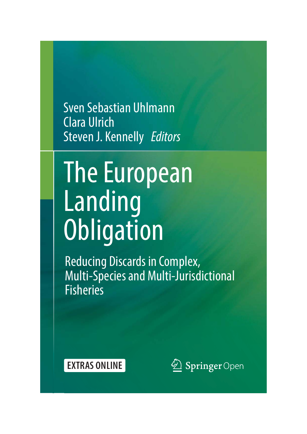Sven Sebastian Uhlmann Clara Ulrich Steven J. Kennelly Editors

# The European Landing **Obligation**

Reducing Discards in Complex, Multi-Species and Multi-Jurisdictional Fisheries

**EXTRAS ONLINE** 

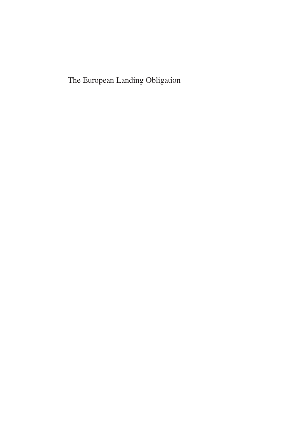The European Landing Obligation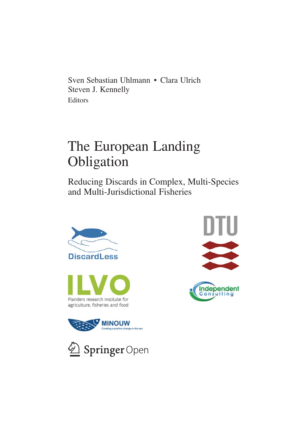Sven Sebastian Uhlmann • Clara Ulrich Steven J. Kennelly Editors

## The European Landing Obligation

Reducing Discards in Complex, Multi-Species and Multi-Jurisdictional Fisheries











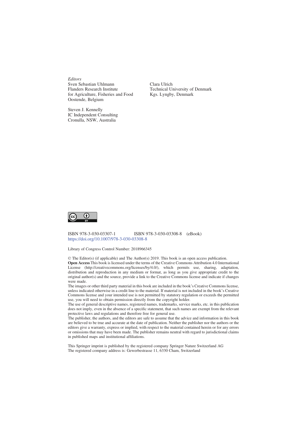Editors Sven Sebastian Uhlmann Flanders Research Institute for Agriculture, Fisheries and Food Oostende, Belgium

Steven J. Kennelly IC Independent Consulting Cronulla, NSW, Australia

Clara Ulrich Technical University of Denmark Kgs. Lyngby, Denmark



ISBN 978-3-030-03307-1 ISBN 978-3-030-03308-8 (eBook) https://doi.org/10.1007/978-3-030-03308-8

Library of Congress Control Number: 2018966345

© The Editor(s) (if applicable) and The Author(s) 2019. This book is an open access publication. Open Access This book is licensed under the terms of the Creative Commons Attribution 4.0 International License (http://creativecommons.org/licenses/by/4.0/), which permits use, sharing, adaptation, distribution and reproduction in any medium or format, as long as you give appropriate credit to the original author(s) and the source, provide a link to the Creative Commons license and indicate if changes were made.

The images or other third party material in this book are included in the book's Creative Commons license, unless indicated otherwise in a credit line to the material. If material is not included in the book's Creative Commons license and your intended use is not permitted by statutory regulation or exceeds the permitted use, you will need to obtain permission directly from the copyright holder.

The use of general descriptive names, registered names, trademarks, service marks, etc. in this publication does not imply, even in the absence of a specific statement, that such names are exempt from the relevant protective laws and regulations and therefore free for general use.

The publisher, the authors, and the editors are safe to assume that the advice and information in this book are believed to be true and accurate at the date of publication. Neither the publisher nor the authors or the editors give a warranty, express or implied, with respect to the material contained herein or for any errors or omissions that may have been made. The publisher remains neutral with regard to jurisdictional claims in published maps and institutional affiliations.

This Springer imprint is published by the registered company Springer Nature Switzerland AG The registered company address is: Gewerbestrasse 11, 6330 Cham, Switzerland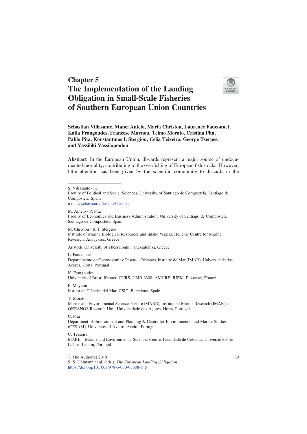### Chapter 5 The Implementation of the Landing Obligation in Small-Scale Fisheries of Southern European Union Countries



Sebastian Villasante, Manel Antelo, Maria Christou, Laurence Fauconnet, Katia Frangoudes, Francesc Maynou, Telmo Morato, Cristina Pita, Pablo Pita, Konstantinos I. Stergiou, Celia Teixeira, George Tserpes, and Vassiliki Vassilopoulou

Abstract In the European Union, discards represent a major source of undocumented mortality, contributing to the overfishing of European fish stocks. However, little attention has been given by the scientific community to discards in the

S. Villasante  $(\boxtimes)$ 

M. Christou · K. I. Stergiou Institute of Marine Biological Resources and Inland Waters, Hellenic Centre for Marine Research, Anavyssos, Greece

Aristotle University of Thessaloniki, Thessaloniki, Greece

L. Fauconnet Departamento de Oceanografia e Pescas – Okeanos, Instituto do Mar (IMAR), Universidade dos Açores, Horta, Portugal

K. Frangoudes University of Brest, Ifremer, CNRS, UMR 6308, AMURE, IUEM, Plouzané, France

F. Maynou Institut de Ciències del Mar, CSIC, Barcelona, Spain

T. Morato

Marine and Environmental Sciences Centre (MARE), Institute of Marine Research (IMAR) and OKEANOS Research Unit, Universidade dos Açores, Horta, Portugal

C. Pita

Department of Environment and Planning & Centre for Environmental and Marine Studies (CESAM), University of Aveiro, Aveiro, Portugal

C. Teixeira

MARE – Marine and Environmental Sciences Centre, Faculdade de Ciências, Universidade de Lisboa, Lisbon, Portugal

© The Author(s) 2019 S. S. Uhlmann et al. (eds.), The European Landing Obligation, https://doi.org/10.1007/978-3-030-03308-8\_5

89

Faculty of Political and Social Sciences, University of Santiago de Compostela, Santiago de Compostela, Spain

e-mail: sebastian.villasante@usc.es

M. Antelo · P. Pita Faculty of Economics and Business Administration, University of Santiago de Compostela, Santiago de Compostela, Spain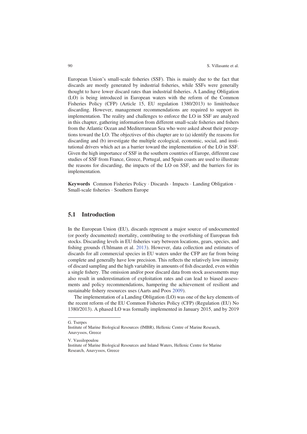European Union's small-scale fisheries (SSF). This is mainly due to the fact that discards are mostly generated by industrial fisheries, while SSFs were generally thought to have lower discard rates than industrial fisheries. A Landing Obligation (LO) is being introduced in European waters with the reform of the Common Fisheries Policy (CFP) (Article 15, EU regulation 1380/2013) to limit/reduce discarding. However, management recommendations are required to support its implementation. The reality and challenges to enforce the LO in SSF are analyzed in this chapter, gathering information from different small-scale fisheries and fishers from the Atlantic Ocean and Mediterranean Sea who were asked about their perceptions toward the LO. The objectives of this chapter are to (a) identify the reasons for discarding and (b) investigate the multiple ecological, economic, social, and institutional drivers which act as a barrier toward the implementation of the LO in SSF. Given the high importance of SSF in the southern countries of Europe, different case studies of SSF from France, Greece, Portugal, and Spain coasts are used to illustrate the reasons for discarding, the impacts of the LO on SSF, and the barriers for its implementation.

Keywords Common Fisheries Policy · Discards · Impacts · Landing Obligation · Small-scale fisheries · Southern Europe

#### 5.1 Introduction

In the European Union (EU), discards represent a major source of undocumented (or poorly documented) mortality, contributing to the overfishing of European fish stocks. Discarding levels in EU fisheries vary between locations, gears, species, and fishing grounds (Uhlmann et al. 2013). However, data collection and estimates of discards for all commercial species in EU waters under the CFP are far from being complete and generally have low precision. This reflects the relatively low intensity of discard sampling and the high variability in amounts of fish discarded, even within a single fishery. The omission and/or poor discard data from stock assessments may also result in underestimation of exploitation rates and can lead to biased assessments and policy recommendations, hampering the achievement of resilient and sustainable fishery resources uses (Aarts and Poos 2009).

The implementation of a Landing Obligation (LO) was one of the key elements of the recent reform of the EU Common Fisheries Policy (CFP) (Regulation (EU) No 1380/2013). A phased LO was formally implemented in January 2015, and by 2019

V. Vassilopoulou

G. Tserpes

Institute of Marine Biological Resources (IMBR), Hellenic Centre of Marine Research, Anavyssos, Greece

Institute of Marine Biological Resources and Inland Waters, Hellenic Centre for Marine Research, Anavyssos, Greece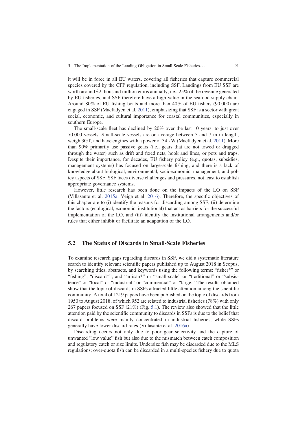it will be in force in all EU waters, covering all fisheries that capture commercial species covered by the CFP regulation, including SSF. Landings from EU SSF are worth around €2 thousand million euros annually, i.e., 25% of the revenue generated by EU fisheries, and SSF therefore have a high value in the seafood supply chain. Around 80% of EU fishing boats and more than 40% of EU fishers (90,000) are engaged in SSF (Macfadyen et al. 2011), emphasizing that SSF is a sector with great social, economic, and cultural importance for coastal communities, especially in southern Europe.

The small-scale fleet has declined by 20% over the last 10 years, to just over 70,000 vessels. Small-scale vessels are on average between 5 and 7 m in length, weigh 3GT, and have engines with a power of 34 kW (Macfadyen et al. 2011). More than 90% primarily use passive gears (i.e., gears that are not towed or dragged through the water) such as drift and fixed nets, hook and lines, or pots and traps. Despite their importance, for decades, EU fishery policy (e.g., quotas, subsidies, management systems) has focused on large-scale fishing, and there is a lack of knowledge about biological, environmental, socioeconomic, management, and policy aspects of SSF. SSF faces diverse challenges and pressures, not least to establish appropriate governance systems.

However, little research has been done on the impacts of the LO on SSF (Villasante et al. 2015a; Veiga et al. 2016). Therefore, the specific objectives of this chapter are to (i) identify the reasons for discarding among SSF, (ii) determine the factors (ecological, economic, institutional) that act as barriers for the successful implementation of the LO, and (iii) identify the institutional arrangements and/or rules that either inhibit or facilitate an adaptation of the LO.

#### 5.2 The Status of Discards in Small-Scale Fisheries

To examine research gaps regarding discards in SSF, we did a systematic literature search to identify relevant scientific papers published up to August 2018 in Scopus, by searching titles, abstracts, and keywords using the following terms: "fisher\*" or "fishing"; "discard\*"; and "artisan\*" or "small-scale" or "traditional" or "subsistence" or "local" or "industrial" or "commercial" or "large." The results obtained show that the topic of discards in SSFs attracted little attention among the scientific community. A total of 1219 papers have been published on the topic of discards from 1950 to August 2018, of which 952 are related to industrial fisheries (78%) with only 267 papers focused on SSF (21%) (Fig. 5.1). The review also showed that the little attention paid by the scientific community to discards in SSFs is due to the belief that discard problems were mainly concentrated in industrial fisheries, while SSFs generally have lower discard rates (Villasante et al. 2016a).

Discarding occurs not only due to poor gear selectivity and the capture of unwanted "low value" fish but also due to the mismatch between catch composition and regulatory catch or size limits. Undersize fish may be discarded due to the MLS regulations; over-quota fish can be discarded in a multi-species fishery due to quota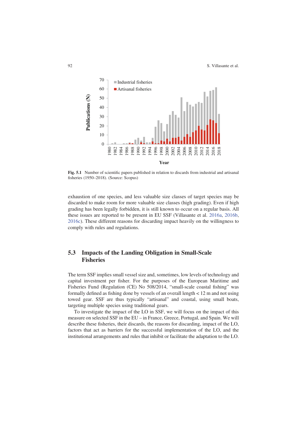

Fig. 5.1 Number of scientific papers published in relation to discards from industrial and artisanal fisheries (1950–2018). (Source: Scopus)

exhaustion of one species, and less valuable size classes of target species may be discarded to make room for more valuable size classes (high grading). Even if high grading has been legally forbidden, it is still known to occur on a regular basis. All these issues are reported to be present in EU SSF (Villasante et al. 2016a, 2016b, 2016c). These different reasons for discarding impact heavily on the willingness to comply with rules and regulations.

#### 5.3 Impacts of the Landing Obligation in Small-Scale Fisheries

The term SSF implies small vessel size and, sometimes, low levels of technology and capital investment per fisher. For the purposes of the European Maritime and Fisheries Fund (Regulation (CE) No 508/2014, "small-scale coastal fishing" was formally defined as fishing done by vessels of an overall length < 12 m and not using towed gear. SSF are thus typically "artisanal" and coastal, using small boats, targeting multiple species using traditional gears.

To investigate the impact of the LO in SSF, we will focus on the impact of this measure on selected SSF in the EU – in France, Greece, Portugal, and Spain. We will describe these fisheries, their discards, the reasons for discarding, impact of the LO, factors that act as barriers for the successful implementation of the LO, and the institutional arrangements and rules that inhibit or facilitate the adaptation to the LO.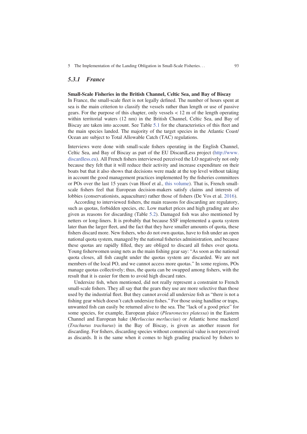#### 5.3.1 France

#### Small-Scale Fisheries in the British Channel, Celtic Sea, and Bay of Biscay

In France, the small-scale fleet is not legally defined. The number of hours spent at sea is the main criterion to classify the vessels rather than length or use of passive gears. For the purpose of this chapter, only vessels  $< 12$  m of the length operating within territorial waters (12 nm) in the British Channel, Celtic Sea, and Bay of Biscay are taken into account. See Table 5.1 for the characteristics of this fleet and the main species landed. The majority of the target species in the Atlantic Coast/ Ocean are subject to Total Allowable Catch (TAC) regulations.

Interviews were done with small-scale fishers operating in the English Channel, Celtic Sea, and Bay of Biscay as part of the EU DiscardLess project (http://www. discardless.eu). All French fishers interviewed perceived the LO negatively not only because they felt that it will reduce their activity and increase expenditure on their boats but that it also shows that decisions were made at the top level without taking in account the good management practices implemented by the fisheries committees or POs over the last 15 years (van Hoof et al., this volume). That is, French smallscale fishers feel that European decision-makers satisfy claims and interests of lobbies (conservationists, aquaculture) rather those of fishers (De Vos et al. 2016).

According to interviewed fishers, the main reasons for discarding are regulatory, such as quotas, forbidden species, etc. Low market prices and high grading are also given as reasons for discarding (Table 5.2). Damaged fish was also mentioned by netters or long-liners. It is probably that because SSF implemented a quota system later than the larger fleet, and the fact that they have smaller amounts of quota, these fishers discard more. New fishers, who do not own quotas, have to fish under an open national quota system, managed by the national fisheries administration, and because these quotas are rapidly filled, they are obliged to discard all fishes over quota. Young fisherwomen using nets as the main fishing gear say: "As soon as the national quota closes, all fish caught under the quotas system are discarded. We are not members of the local PO, and we cannot access more quotas." In some regions, POs manage quotas collectively; thus, the quota can be swapped among fishers, with the result that it is easier for them to avoid high discard rates.

Undersize fish, when mentioned, did not really represent a constraint to French small-scale fishers. They all say that the gears they use are more selective than those used by the industrial fleet. But they cannot avoid all undersize fish as "there is not a fishing gear which doesn't catch undersize fishes." For those using handline or traps, unwanted fish can easily be returned alive to the sea. The "lack of a good price" for some species, for example, European plaice (Pleuronectes platessa) in the Eastern Channel and European hake (Merluccius merluccius) or Atlantic horse mackerel (Trachurus trachurus) in the Bay of Biscay, is given as another reason for discarding. For fishers, discarding species without commercial value is not perceived as discards. It is the same when it comes to high grading practiced by fishers to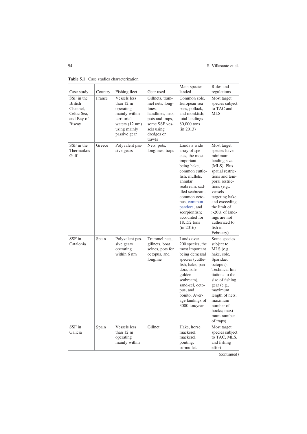#### 94 S. Villasante et al.

|                                                                                 |         |                                                                                                                                              |                                                                                                                                            | Main species<br>landed                                                                                                                                                                                                                                                      | Rules and                                                                                                                                                                                                                                                                                  |
|---------------------------------------------------------------------------------|---------|----------------------------------------------------------------------------------------------------------------------------------------------|--------------------------------------------------------------------------------------------------------------------------------------------|-----------------------------------------------------------------------------------------------------------------------------------------------------------------------------------------------------------------------------------------------------------------------------|--------------------------------------------------------------------------------------------------------------------------------------------------------------------------------------------------------------------------------------------------------------------------------------------|
| Case study                                                                      | Country | Fishing fleet                                                                                                                                | Gear used                                                                                                                                  |                                                                                                                                                                                                                                                                             | regulations                                                                                                                                                                                                                                                                                |
| SSF in the<br><b>British</b><br>Channel,<br>Celtic Sea,<br>and Bay of<br>Biscay | France  | Vessels less<br>than $12 \text{ m}$<br>operating<br>mainly within<br>territorial<br>waters $(12 \text{ nm})$<br>using mainly<br>passive gear | Gillnets, tram-<br>mel nets, long-<br>lines,<br>handlines, nets,<br>pots and traps,<br>some SSF ves-<br>sels using<br>dredges or<br>trawls | Common sole,<br>European sea<br>bass, pollack,<br>and monkfish;<br>total landings<br>80,000 tons<br>(in 2013)                                                                                                                                                               | Most target<br>species subject<br>to TAC and<br><b>MLS</b>                                                                                                                                                                                                                                 |
| SSF in the<br>Thermaikos<br>Gulf                                                | Greece  | Polyvalent pas-<br>sive gears                                                                                                                | Nets, pots,<br>longlines, traps                                                                                                            | Lands a wide<br>array of spe-<br>cies, the most<br>important<br>being hake,<br>common cuttle-<br>fish, mullets,<br>annular<br>seabream, sad-<br>dled seabream,<br>common octo-<br>pus, common<br>pandora, and<br>scorpionfish;<br>accounted for<br>18,152 tons<br>(in 2016) | Most target<br>species have<br>minimum<br>landing size<br>(MLS). Plus<br>spatial restric-<br>tions and tem-<br>poral restric-<br>tions $(e.g.,$<br>vessels<br>targeting hake<br>and exceeding<br>the limit of<br>$>20\%$ of land-<br>ings are not<br>authorized to<br>fish in<br>February) |
| SSF in<br>Catalonia                                                             | Spain   | Polyvalent pas-<br>sive gears<br>operating<br>within 6 nm                                                                                    | Trammel nets,<br>gillnets, boat<br>seines, pots for<br>octopus, and<br>longline                                                            | Lands over<br>200 species, the<br>most important<br>being demersal<br>species (cuttle-<br>fish, hake, pan-<br>dora, sole,<br>golden<br>seabream),<br>sand-eel, octo-<br>pus, and<br>bonito. Aver-<br>age landings of<br>3000 ton/year                                       | Some species<br>subject to<br>$MLS$ (e.g.,<br>hake, sole,<br>Sparidae,<br>octopus).<br>Technical lim-<br>itations to the<br>size of fishing<br>gear (e.g.,<br>maximum<br>length of nets;<br>maximum<br>number of<br>hooks: maxi-<br>mum number<br>of traps)                                |
| SSF in<br>Galicia                                                               | Spain   | Vessels less<br>than 12 m<br>operating<br>mainly within                                                                                      | Gillnet                                                                                                                                    | Hake, horse<br>mackerel,<br>mackerel,<br>pouting,<br>surmullet.                                                                                                                                                                                                             | Most target<br>species subject<br>to TAC, MLS,<br>and fishing<br>effort                                                                                                                                                                                                                    |

Table 5.1 Case studies characterization

(continued)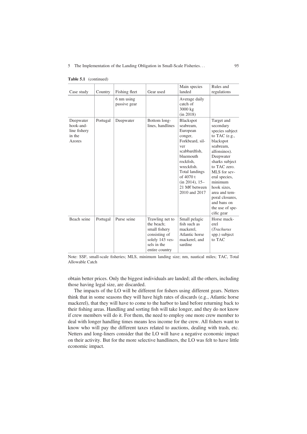| Case study                                                 | Country  | Fishing fleet              | Gear used                                                                                                           | Main species<br>landed                                                                                                                                                                                              | Rules and<br>regulations                                                                                                                                                                                                                                                                              |
|------------------------------------------------------------|----------|----------------------------|---------------------------------------------------------------------------------------------------------------------|---------------------------------------------------------------------------------------------------------------------------------------------------------------------------------------------------------------------|-------------------------------------------------------------------------------------------------------------------------------------------------------------------------------------------------------------------------------------------------------------------------------------------------------|
|                                                            |          | 6 nm using<br>passive gear |                                                                                                                     | Average daily<br>catch of<br>3000 kg<br>(in 2018)                                                                                                                                                                   |                                                                                                                                                                                                                                                                                                       |
| Deepwater<br>hook-and-<br>line fishery<br>in the<br>Azores | Portugal | Deepwater                  | Bottom long-<br>lines, handlines                                                                                    | Blackspot<br>seabream.<br>European<br>conger,<br>Forkbeard, sil-<br>ver<br>scabbardfish,<br>bluemouth<br>rockfish.<br>wreckfish.<br>Total landings<br>of 4070 t<br>(in 2014), 15–<br>21 M€ between<br>2010 and 2017 | Target and<br>secondary<br>species subject<br>to TAC $(e.g.,$<br>blackspot<br>seabream,<br>alfonsinos).<br>Deepwater<br>sharks subject<br>to TAC zero.<br>MLS for sev-<br>eral species,<br>minimum<br>hook sizes,<br>area and tem-<br>poral closures,<br>and bans on<br>the use of spe-<br>cific gear |
| Beach seine                                                | Portugal | Purse seine                | Trawling net to<br>the beach;<br>small fishery<br>consisting of<br>solely 143 ves-<br>sels in the<br>entire country | Small pelagic<br>fish such as<br>mackerel.<br>Atlantic horse<br>mackerel, and<br>sardine                                                                                                                            | Horse mack-<br>erel<br>(Trachurus<br>spp.) subject<br>to TAC                                                                                                                                                                                                                                          |

Table 5.1 (continued)

Note: SSF, small-scale fisheries; MLS, minimum landing size; nm, nautical miles; TAC, Total Allowable Catch

obtain better prices. Only the biggest individuals are landed; all the others, including those having legal size, are discarded.

The impacts of the LO will be different for fishers using different gears. Netters think that in some seasons they will have high rates of discards (e.g., Atlantic horse mackerel), that they will have to come to the harbor to land before returning back to their fishing areas. Handling and sorting fish will take longer, and they do not know if crew members will do it. For them, the need to employ one more crew member to deal with longer handling times means less income for the crew. All fishers want to know who will pay the different taxes related to auctions, dealing with trash, etc. Netters and long-liners consider that the LO will have a negative economic impact on their activity. But for the more selective handliners, the LO was felt to have little economic impact.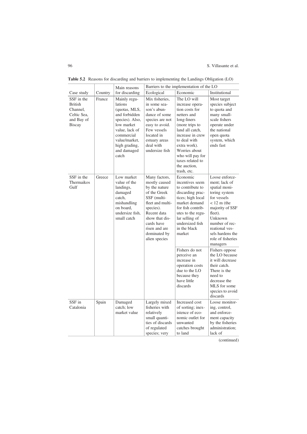#### 96 S. Villasante et al.

|                                                                                 |         | Main reasons                                                                                                                                                                         | Barriers to the implementation of the LO                                                                                                                                                                         |                                                                                                                                                                                                                                                                 |                                                                                                                                                                                                                                             |
|---------------------------------------------------------------------------------|---------|--------------------------------------------------------------------------------------------------------------------------------------------------------------------------------------|------------------------------------------------------------------------------------------------------------------------------------------------------------------------------------------------------------------|-----------------------------------------------------------------------------------------------------------------------------------------------------------------------------------------------------------------------------------------------------------------|---------------------------------------------------------------------------------------------------------------------------------------------------------------------------------------------------------------------------------------------|
| Case study                                                                      | Country | for discarding                                                                                                                                                                       | Ecological                                                                                                                                                                                                       | Economic                                                                                                                                                                                                                                                        | Institutional                                                                                                                                                                                                                               |
| SSF in the<br><b>British</b><br>Channel.<br>Celtic Sea,<br>and Bay of<br>Biscay | France  | Mainly regu-<br>lations<br>(quotas, MLS,<br>and forbidden<br>species). Also,<br>low market<br>value. lack of<br>commercial<br>value/market,<br>high grading,<br>and damaged<br>catch | Mix fisheries,<br>in some sea-<br>son's abun-<br>dance of some<br>species are not<br>easy to avoid.<br>Few vessels<br>located in<br>estuary areas<br>deal with<br>undersize fish                                 | The LO will<br>increase opera-<br>tion costs for<br>netters and<br>long-liners<br>(more trips to<br>land all catch,<br>increase in crew<br>to deal with<br>extra work).<br>Worries about<br>who will pay for<br>taxes related to<br>the auction.<br>trash, etc. | Most target<br>species subject<br>to quota and<br>many small-<br>scale fishers<br>operate under<br>the national<br>open quota<br>system, which<br>ends fast                                                                                 |
| SSF in the<br>Thermaikos<br>Gulf                                                | Greece  | Low market<br>value of the<br>landings,<br>damaged<br>catch,<br>mishandling<br>on board,<br>undersize fish.<br>small catch                                                           | Many factors,<br>mostly caused<br>by the nature<br>of the Greek<br>SSF (multi-<br>fleet and multi-<br>species).<br>Recent data<br>show that dis-<br>cards have<br>risen and are<br>dominated by<br>alien species | Economic<br>incentives seem<br>to contribute to<br>discarding prac-<br>tices; high local<br>market demand<br>for fish contrib-<br>utes to the regu-<br>lar selling of<br>undersized fish<br>in the black<br>market                                              | Loose enforce-<br>ment: lack of<br>spatial moni-<br>toring system<br>for vessels<br>$< 12 \text{ m}$ (the<br>majority of SSF<br>fleet).<br>Unknown<br>number of rec-<br>reational ves-<br>sels hardens the<br>role of fisheries<br>managers |
|                                                                                 |         |                                                                                                                                                                                      |                                                                                                                                                                                                                  | Fishers do not<br>perceive an<br>increase in<br>operation costs<br>due to the LO<br>because they<br>have little<br>discards                                                                                                                                     | Fishers oppose<br>the LO because<br>it will decrease<br>their catch.<br>There is the<br>need to<br>decrease the<br>MLS for some<br>species to avoid<br>discards                                                                             |
| SSF in<br>Catalonia                                                             | Spain   | Damaged<br>catch; low<br>market value                                                                                                                                                | Largely mixed<br>fisheries with<br>relatively<br>small quanti-<br>ties of discards<br>of regulated<br>species; very                                                                                              | Increased cost<br>of sorting; inex-<br>istence of eco-<br>nomic outlet for<br>unwanted<br>catches brought<br>to land                                                                                                                                            | Loose monitor-<br>ing, control,<br>and enforce-<br>ment capacity<br>by the fisheries<br>administration:<br>lack of                                                                                                                          |

Table 5.2 Reasons for discarding and barriers to implementing the Landings Obligation (LO)

(continued)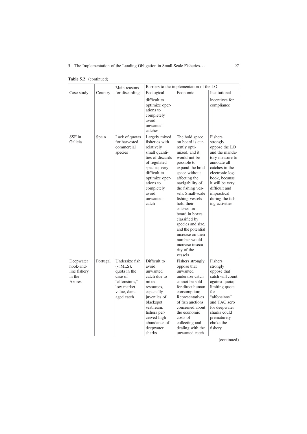|                                                            |          | Main reasons                                                                                                        | Barriers to the implementation of the LO                                                                                                                                                                       |                                                                                                                                                                                                                                                                                                                                                                                                                                    |                                                                                                                                                                                                                                          |
|------------------------------------------------------------|----------|---------------------------------------------------------------------------------------------------------------------|----------------------------------------------------------------------------------------------------------------------------------------------------------------------------------------------------------------|------------------------------------------------------------------------------------------------------------------------------------------------------------------------------------------------------------------------------------------------------------------------------------------------------------------------------------------------------------------------------------------------------------------------------------|------------------------------------------------------------------------------------------------------------------------------------------------------------------------------------------------------------------------------------------|
| Case study                                                 | Country  | for discarding                                                                                                      | Ecological                                                                                                                                                                                                     | Economic                                                                                                                                                                                                                                                                                                                                                                                                                           | Institutional                                                                                                                                                                                                                            |
|                                                            |          |                                                                                                                     | difficult to<br>optimize oper-<br>ations to<br>completely<br>avoid<br>unwanted<br>catches                                                                                                                      |                                                                                                                                                                                                                                                                                                                                                                                                                                    | incentives for<br>compliance                                                                                                                                                                                                             |
| SSF in<br>Galicia                                          | Spain    | Lack of quotas<br>for harvested<br>commercial<br>species                                                            | Largely mixed<br>fisheries with<br>relatively<br>small quanti-<br>ties of discards<br>of regulated<br>species; very<br>difficult to<br>optimize oper-<br>ations to<br>completely<br>avoid<br>unwanted<br>catch | The hold space<br>on board is cur-<br>rently opti-<br>mized, and it<br>would not be<br>possible to<br>expand the hold<br>space without<br>affecting the<br>navigability of<br>the fishing ves-<br>sels. Small-scale<br>fishing vessels<br>hold their<br>catches on<br>board in boxes<br>classified by<br>species and size,<br>and the potential<br>increase on their<br>number would<br>increase insecu-<br>rity of the<br>vessels | Fishers<br>strongly<br>oppose the LO<br>and the manda-<br>tory measure to<br>annotate all<br>catches in the<br>electronic log-<br>book, because<br>it will be very<br>difficult and<br>impractical<br>during the fish-<br>ing activities |
| Deepwater<br>hook-and-<br>line fishery<br>in the<br>Azores | Portugal | Undersize fish<br>$(<$ MLS).<br>quota in the<br>case of<br>"alfonsinos,"<br>low market<br>value, dam-<br>aged catch | Difficult to<br>avoid<br>unwanted<br>catch due to<br>mixed<br>resources,<br>especially<br>juveniles of<br>blackspot<br>seabream;<br>fishers per-<br>ceived high<br>abundance of<br>deepwater<br>sharks         | Fishers strongly<br>oppose that<br>unwanted<br>undersize catch<br>cannot be sold<br>for direct human<br>consumption;<br>Representatives<br>of fish auctions<br>concerned about<br>the economic<br>costs of<br>collecting and<br>dealing with the<br>unwanted catch                                                                                                                                                                 | Fishers<br>strongly<br>oppose that<br>catch will count<br>against quota;<br>limiting quota<br>for<br>"alfonsinos"<br>and TAC zero<br>for deepwater<br>sharks could<br>prematurely<br>choke the<br>fishery                                |

#### Table 5.2 (continued)

(continued)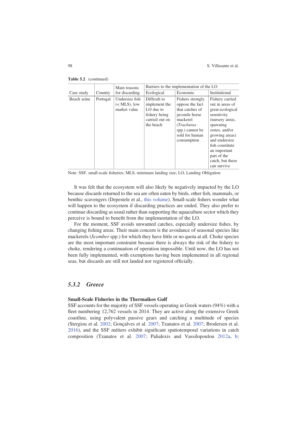98 S. Villasante et al.

Table 5.2 (continued)

|             |          | Main reasons                                    | Barriers to the implementation of the LO                                                   |                                                                                                                                                                |                                                                                                                                                                                                                                               |
|-------------|----------|-------------------------------------------------|--------------------------------------------------------------------------------------------|----------------------------------------------------------------------------------------------------------------------------------------------------------------|-----------------------------------------------------------------------------------------------------------------------------------------------------------------------------------------------------------------------------------------------|
| Case study  | Country  | for discarding                                  | Ecological                                                                                 | Economic                                                                                                                                                       | Institutional                                                                                                                                                                                                                                 |
| Beach seine | Portugal | Undersize fish<br>$(MLS)$ , low<br>market value | Difficult to<br>implement the<br>LO due to<br>fishery being<br>carried out on<br>the beach | Fishers strongly<br>oppose the fact<br>that catches of<br>juvenile horse<br>mackerel<br>( <i>Trachurus</i><br>spp.) cannot be<br>sold for human<br>consumption | Fishery carried<br>out in areas of<br>great ecological<br>sensitivity<br>(nursery areas,<br>spawning<br>zones, and/or<br>growing areas)<br>and undersize<br>fish constitute<br>an important<br>part of the<br>catch, but these<br>can survive |
|             |          |                                                 |                                                                                            |                                                                                                                                                                |                                                                                                                                                                                                                                               |

Note: SSF, small-scale fisheries; MLS, minimum landing size; LO, Landing Obligation

It was felt that the ecosystem will also likely be negatively impacted by the LO because discards returned to the sea are often eaten by birds, other fish, mammals, or benthic scavengers (Depestele et al., this volume). Small-scale fishers wonder what will happen to the ecosystem if discarding practices are ended. They also prefer to continue discarding as usual rather than supporting the aquaculture sector which they perceive is bound to benefit from the implementation of the LO.

For the moment, SSF avoids unwanted catches, especially undersize fishes, by changing fishing areas. Their main concern is the avoidance of seasonal species like mackerels (Scomber spp.) for which they have little or no quota at all. Choke species are the most important constraint because there is always the risk of the fishery to choke, rendering a continuation of operation impossible. Until now, the LO has not been fully implemented, with exemptions having been implemented in all regional seas, but discards are still not landed nor registered officially.

#### 5.3.2 Greece

#### Small-Scale Fisheries in the Thermaikos Gulf

SSF accounts for the majority of SSF vessels operating in Greek waters (94%) with a fleet numbering 12,762 vessels in 2014. They are active along the extensive Greek coastline, using polyvalent passive gears and catching a multitude of species (Stergiou et al. 2002; Gonçalves et al. 2007; Tzanatos et al. 2007; Brodersen et al. 2016), and the SSF métiers exhibit significant spatiotemporal variations in catch composition (Tzanatos et al. 2007; Palialexis and Vassilopoulou 2012a, b;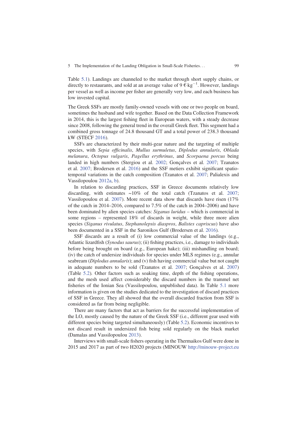Table 5.1). Landings are channeled to the market through short supply chains, or directly to restaurants, and sold at an average value of  $9 \text{ }\epsilon \text{ kg}^{-1}$ . However, landings per vessel as well as income per fisher are generally very low, and each business has low invested capital.

The Greek SSFs are mostly family-owned vessels with one or two people on board, sometimes the husband and wife together. Based on the Data Collection Framework in 2014, this is the largest fishing fleet in European waters, with a steady decrease since 2008, following the general trend in the overall Greek fleet. This segment had a combined gross tonnage of 24.8 thousand GT and a total power of 238.3 thousand kW (STECF 2016).

SSFs are characterized by their multi-gear nature and the targeting of multiple species, with Sepia officinalis, Mullus surmuletus, Diplodus annularis, Oblada melanura, Octopus vulgaris, Pagellus erythrinus, and Scorpaena porcus being landed in high numbers (Stergiou et al. 2002; Gonçalves et al. 2007; Tzanatos et al. 2007; Brodersen et al. 2016) and the SSF metiers exhibit significant spatiotemporal variations in the catch composition (Tzanatos et al. 2007; Palialexis and Vassilopoulou 2012a, b).

In relation to discarding practices, SSF in Greece documents relatively low discarding, with estimates  $\sim 10\%$  of the total catch (Tzanatos et al. 2007; Vassilopoulou et al. 2007). More recent data show that discards have risen (17% of the catch in 2014–2016, compared to 7.5% of the catch in 2004–2006) and have been dominated by alien species catches: Siganus luridus – which is commercial in some regions – represented 18% of discards in weight, while three more alien species (Siganus rivulatus, Stephanolepsis diaspros, Balistes capriscus) have also been documented in a SSF in the Saronikos Gulf (Brodersen et al. 2016).

SSF discards are a result of (i) low commercial value of the landings (e.g., Atlantic lizardfish (Synodus saurus); (ii) fishing practices, i.e., damage to individuals before being brought on board (e.g., European hake); (iii) mishandling on board; (iv) the catch of undersize individuals for species under MLS regimes (e.g., annular seabream (Diplodus annularis); and (v) fish having commercial value but not caught in adequate numbers to be sold (Tzanatos et al. 2007; Gonçalves et al. 2007) (Table 5.2). Other factors such as soaking time, depth of the fishing operations, and the mesh used affect considerably the discard numbers in the trammel net fisheries of the Ionian Sea (Vassilopoulou, unpublished data). In Table 5.1 more information is given on the studies dedicated to the investigation of discard practices of SSF in Greece. They all showed that the overall discarded fraction from SSF is considered as far from being negligible.

There are many factors that act as barriers for the successful implementation of the LO, mostly caused by the nature of the Greek SSF (i.e., different gear used with different species being targeted simultaneously) (Table 5.2). Economic incentives to not discard result in undersized fish being sold regularly on the black market (Damalas and Vassilopoulou 2013).

Interviews with small-scale fishers operating in the Thermaikos Gulf were done in 2015 and 2017 as part of two H2020 projects (MINOUW http://minouw-project.eu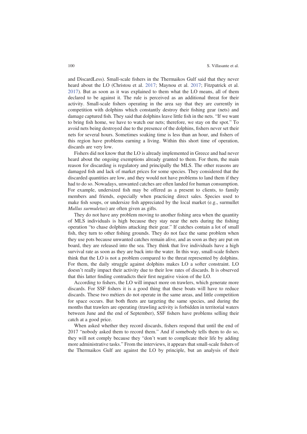and DiscardLess). Small-scale fishers in the Thermaikos Gulf said that they never heard about the LO (Christou et al. 2017; Maynou et al. 2017; Fitzpatrick et al. 2017). But as soon as it was explained to them what the LO means, all of them declared to be against it. The rule is perceived as an additional threat for their activity. Small-scale fishers operating in the area say that they are currently in competition with dolphins which constantly destroy their fishing gear (nets) and damage captured fish. They said that dolphins leave little fish in the nets. "If we want to bring fish home, we have to watch our nets; therefore, we stay on the spot." To avoid nets being destroyed due to the presence of the dolphins, fishers never set their nets for several hours. Sometimes soaking time is less than an hour, and fishers of this region have problems earning a living. Within this short time of operation, discards are very low.

Fishers did not know that the LO is already implemented in Greece and had never heard about the ongoing exemptions already granted to them. For them, the main reason for discarding is regulatory and principally the MLS. The other reasons are damaged fish and lack of market prices for some species. They considered that the discarded quantities are low, and they would not have problems to land them if they had to do so. Nowadays, unwanted catches are often landed for human consumption. For example, undersized fish may be offered as a present to clients, to family members and friends, especially when practicing direct sales. Species used to make fish soups, or undersize fish appreciated by the local market (e.g., surmullet Mullus surmuletus) are often given as gifts.

They do not have any problem moving to another fishing area when the quantity of MLS individuals is high because they stay near the nets during the fishing operation "to chase dolphins attacking their gear." If catches contain a lot of small fish, they turn to other fishing grounds. They do not face the same problem when they use pots because unwanted catches remain alive, and as soon as they are put on board, they are released into the sea. They think that live individuals have a high survival rate as soon as they are back into the water. In this way, small-scale fishers think that the LO is not a problem compared to the threat represented by dolphins. For them, the daily struggle against dolphins makes LO a softer constraint. LO doesn't really impact their activity due to their low rates of discards. It is observed that this latter finding contradicts their first negative vision of the LO.

According to fishers, the LO will impact more on trawlers, which generate more discards. For SSF fishers it is a good thing that these boats will have to reduce discards. These two métiers do not operate in the same areas, and little competition for space occurs. But both fleets are targeting the same species, and during the months that trawlers are operating (trawling activity is forbidden in territorial waters between June and the end of September), SSF fishers have problems selling their catch at a good price.

When asked whether they record discards, fishers respond that until the end of 2017 "nobody asked them to record them." And if somebody tells them to do so, they will not comply because they "don't want to complicate their life by adding more administrative tasks." From the interviews, it appears that small-scale fishers of the Thermaikos Gulf are against the LO by principle, but an analysis of their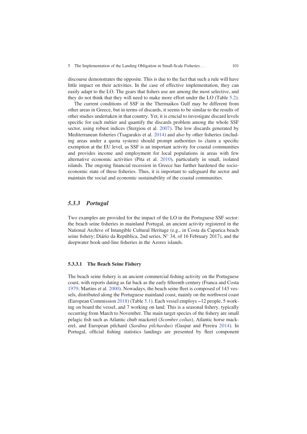discourse demonstrates the opposite. This is due to the fact that such a rule will have little impact on their activities. In the case of effective implementation, they can easily adapt to the LO. The gears that fishers use are among the most selective, and they do not think that they will need to make more effort under the LO (Table 5.2).

The current conditions of SSF in the Thermaikos Gulf may be different from other areas in Greece, but in terms of discards, it seems to be similar to the results of other studies undertaken in that country. Yet, it is crucial to investigate discard levels specific for each métier and quantify the discards problem among the whole SSF sector, using robust indices (Stergiou et al. 2007). The low discards generated by Mediterranean fisheries (Tsagarakis et al. 2014) and also by other fisheries (including areas under a quota system) should prompt authorities to claim a specific exemption at the EU level, as SSF is an important activity for coastal communities and provides income and employment for local populations in areas with few alternative economic activities (Pita et al. 2010), particularly in small, isolated islands. The ongoing financial recession in Greece has further hardened the socioeconomic state of these fisheries. Thus, it is important to safeguard the sector and maintain the social and economic sustainability of the coastal communities.

#### 5.3.3 Portugal

Two examples are provided for the impact of the LO in the Portuguese SSF sector: the beach seine fisheries in mainland Portugal, an ancient activity registered in the National Archive of Intangible Cultural Heritage (e.g., in Costa da Caparica beach seine fishery; Diário da República, 2nd series,  $N^{\circ}$  34, of 16 February 2017), and the deepwater hook-and-line fisheries in the Azores islands.

#### 5.3.3.1 The Beach Seine Fishery

The beach seine fishery is an ancient commercial fishing activity on the Portuguese coast, with reports dating as far back as the early fifteenth century (Franca and Costa 1979; Martins et al. 2000). Nowadays, the beach seine fleet is composed of 143 vessels, distributed along the Portuguese mainland coast, mainly on the northwest coast (European Commission 2018) (Table 5.1). Each vessel employs ~12 people, 5 working on board the vessel, and 7 working on land. This is a seasonal fishery, typically occurring from March to November. The main target species of the fishery are small pelagic fish such as Atlantic chub mackerel (Scomber colias), Atlantic horse mackerel, and European pilchard (Sardina pilchardus) (Gaspar and Pereira 2014). In Portugal, official fishing statistics landings are presented by fleet component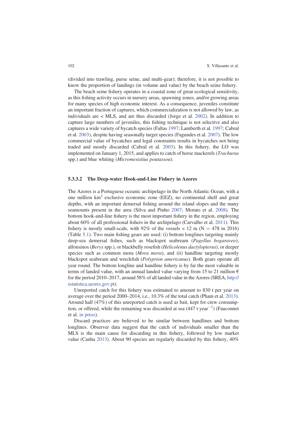(divided into trawling, purse seine, and multi-gear); therefore, it is not possible to know the proportion of landings (in volume and value) by the beach seine fishery.

The beach seine fishery operates in a coastal zone of great ecological sensitivity, as this fishing activity occurs in nursery areas, spawning zones, and/or growing areas for many species of high economic interest. As a consequence, juveniles constitute an important fraction of captures, which commercialization is not allowed by law, as individuals are < MLS, and are thus discarded (Jorge et al. 2002). In addition to capture large numbers of juveniles, this fishing technique is not selective and also captures a wide variety of bycatch species (Faltas 1997; Lamberth et al. 1997; Cabral et al. 2003), despite having seasonally target species (Fagundes et al. 2007). The low commercial value of bycatches and legal constraints results in bycatches not being traded and mostly discarded (Cabral et al. 2003). In this fishery, the LO was implemented on January 1, 2015, and applies to catch of horse mackerels (Trachurus spp.) and blue whiting (Micromesistius poutassou).

#### 5.3.3.2 The Deep-water Hook-and-Line Fishery in Azores

The Azores is a Portuguese oceanic archipelago in the North Atlantic Ocean, with a one million km<sup>2</sup> exclusive economic zone (EEZ), no continental shelf and great depths, with an important demersal fishing around the island slopes and the many seamounts present in the area (Silva and Pinho 2007; Morato et al. 2008). The bottom hook-and-line fishery is the most important fishery in the region, employing about 60% of all professional fishers in the archipelago (Carvalho et al. 2011). This fishery is mostly small-scale, with 92% of the vessels  $< 12$  m (N = 478 in 2016) (Table 5.1). Two main fishing gears are used: (i) bottom longlines targeting mainly deep-sea demersal fishes, such as blackspot seabream (Pagellus bogaraveo), alfonsinos (Beryx spp.), or blackbelly rosefish (Helicolenus dactylopterus), or deeper species such as common mora *(Mora mora)*, and *(ii)* handline targeting mostly blackspot seabream and wreckfish (Polyprion americanus). Both gears operate all year round. The bottom longline and handline fishery is by far the most valuable in terms of landed value, with an annual landed value varying from 15 to 21 million  $\epsilon$ for the period 2010–2017, around 58% of all landed value in the Azores (SREA, http:// estatistica.azores.gov.pt).

Unreported catch for this fishery was estimated to amount to 830 t per year on average over the period 2000–2014, i.e., 10.3% of the total catch (Pham et al. 2013). Around half  $(47%)$  of this unreported catch is used as bait, kept for crew consumption, or offered, while the remaining was discarded at sea  $(447 \text{ t} \cdot \text{year}^{-1})$  (Fauconnet et al. in press).

Discard practices are believed to be similar between handlines and bottom longlines. Observer data suggest that the catch of individuals smaller than the MLS is the main cause for discarding in this fishery, followed by low market value (Canha 2013). About 90 species are regularly discarded by this fishery, 40%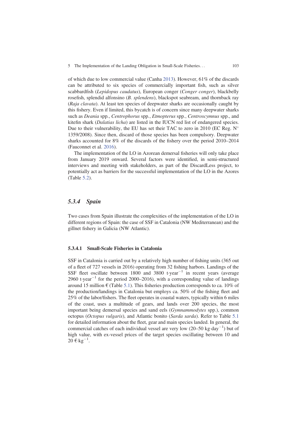of which due to low commercial value (Canha 2013). However, 61% of the discards can be attributed to six species of commercially important fish, such as silver scabbardfish (Lepidopus caudatus), European conger (Conger conger), blackbelly rosefish, splendid alfonsino (B. splendens), blackspot seabream, and thornback ray (Raja clavata). At least ten species of deepwater sharks are occasionally caught by this fishery. Even if limited, this bycatch is of concern since many deepwater sharks such as Deania spp., Centrophorus spp., Etmopterus spp., Centroscymnus spp., and kitefin shark (Dalatias licha) are listed in the IUCN red list of endangered species. Due to their vulnerability, the EU has set their TAC to zero in 2010 (EC Reg.  $N^{\circ}$ 1359/2008). Since then, discard of those species has been compulsory. Deepwater sharks accounted for 8% of the discards of the fishery over the period 2010–2014 (Fauconnet et al. 2016).

The implementation of the LO in Azorean demersal fisheries will only take place from January 2019 onward. Several factors were identified, in semi-structured interviews and meeting with stakeholders, as part of the DiscardLess project, to potentially act as barriers for the successful implementation of the LO in the Azores (Table 5.2).

#### 5.3.4 Spain

Two cases from Spain illustrate the complexities of the implementation of the LO in different regions of Spain: the case of SSF in Catalonia (NW Mediterranean) and the gillnet fishery in Galicia (NW Atlantic).

#### 5.3.4.1 Small-Scale Fisheries in Catalonia

SSF in Catalonia is carried out by a relatively high number of fishing units (365 out of a fleet of 727 vessels in 2016) operating from 32 fishing harbors. Landings of the SSF fleet oscillate between 1800 and 3800 t-year<sup>-1</sup> in recent years (average 2960 t $year^{-1}$  for the period 2000–2016), with a corresponding value of landings around 15 million  $\epsilon$  (Table 5.1). This fisheries production corresponds to ca. 10% of the production/landings in Catalonia but employs ca. 50% of the fishing fleet and 25% of the labor/fishers. The fleet operates in coastal waters, typically within 6 miles of the coast, uses a multitude of gears, and lands over 200 species, the most important being demersal species and sand eels (Gymnammodytes spp.), common octopus (Octopus vulgaris), and Atlantic bonito (Sarda sarda). Refer to Table 5.1 for detailed information about the fleet, gear and main species landed. In general, the commercial catches of each individual vessel are very low  $(20-50 \text{ kg day}^{-1})$  but of high value, with ex-vessel prices of the target species oscillating between 10 and  $20 \text{ }\epsilon\text{-kg}^{-1}$ .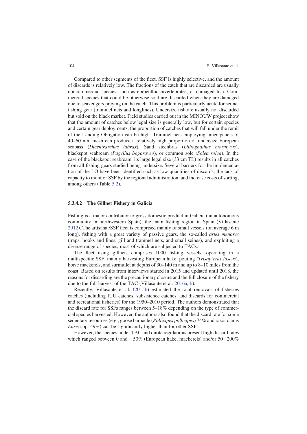Compared to other segments of the fleet, SSF is highly selective, and the amount of discards is relatively low. The fractions of the catch that are discarded are usually noncommercial species, such as epibenthic invertebrates, or damaged fish. Commercial species that could be otherwise sold are discarded when they are damaged due to scavengers preying on the catch. This problem is particularly acute for set net fishing gear (trammel nets and longlines). Undersize fish are usually not discarded but sold on the black market. Field studies carried out in the MINOUW project show that the amount of catches below legal size is generally low, but for certain species and certain gear deployments, the proportion of catches that will fall under the remit of the Landing Obligation can be high. Trammel nets employing inner panels of 40–60 mm mesh can produce a relatively high proportion of undersize European seabass (Dicentrarchus labrax), Sand steenbras (Lithognathus mormyrus), blackspot seabream (Pagellus bogaraveo), or common sole (Solea solea). In the case of the blackspot seabream, its large legal size (33 cm TL) results in all catches from all fishing gears studied being undersize. Several barriers for the implementation of the LO have been identified such as low quantities of discards, the lack of capacity to monitor SSF by the regional administration, and increase costs of sorting, among others (Table 5.2).

#### 5.3.4.2 The Gillnet Fishery in Galicia

Fishing is a major contributor to gross domestic product in Galicia (an autonomous community in northwestern Spain), the main fishing region in Spain (Villasante 2012). The artisanal/SSF fleet is comprised mainly of small vessels (on average 6 m long), fishing with a great variety of passive gears, the so-called *artes menores* (traps, hooks and lines, gill and trammel nets, and small seines), and exploiting a diverse range of species, most of which are subjected to TACs.

The fleet using gillnets comprises 1000 fishing vessels, operating in a multispecific SSF, mainly harvesting European hake, pouting (Trisopterus luscus), horse mackerels, and surmullet at depths of 30–140 m and up to 8–10 miles from the coast. Based on results from interviews started in 2015 and updated until 2018, the reasons for discarding are the precautionary closure and the full closure of the fishery due to the full harvest of the TAC (Villasante et al. 2016a, b).

Recently, Villasante et al. (2015b) estimated the total removals of fisheries catches (including IUU catches, subsistence catches, and discards for commercial and recreational fisheries) for the 1950–2010 period. The authors demonstrated that the discard rate for SSFs ranges between 5–18% depending on the type of commercial species harvested. However, the authors also found that the discard rate for some sedentary resources (e.g., goose barnacle (*Pollicipes pollicipes*) 74% and razor clams Ensis spp. 49%) can be significantly higher than for other SSFs.

However, the species under TAC and quota regulations present high discard rates which ranged between 0 and  $-50\%$  (European hake, mackerels) and/or  $50-200\%$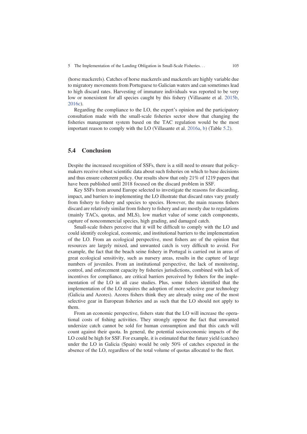(horse mackerels). Catches of horse mackerels and mackerels are highly variable due to migratory movements from Portuguese to Galician waters and can sometimes lead to high discard rates. Harvesting of immature individuals was reported to be very low or nonexistent for all species caught by this fishery (Villasante et al. 2015b, 2016c).

Regarding the compliance to the LO, the expert's opinion and the participatory consultation made with the small-scale fisheries sector show that changing the fisheries management system based on the TAC regulation would be the most important reason to comply with the LO (Villasante et al. 2016a, b) (Table 5.2).

#### 5.4 Conclusion

Despite the increased recognition of SSFs, there is a still need to ensure that policymakers receive robust scientific data about such fisheries on which to base decisions and thus ensure coherent policy. Our results show that only 21% of 1219 papers that have been published until 2018 focused on the discard problem in SSF.

Key SSFs from around Europe selected to investigate the reasons for discarding, impact, and barriers to implementing the LO illustrate that discard rates vary greatly from fishery to fishery and species to species. However, the main reasons fishers discard are relatively similar from fishery to fishery and are mostly due to regulations (mainly TACs, quotas, and MLS), low market value of some catch components, capture of noncommercial species, high grading, and damaged catch.

Small-scale fishers perceive that it will be difficult to comply with the LO and could identify ecological, economic, and institutional barriers to the implementation of the LO. From an ecological perspective, most fishers are of the opinion that resources are largely mixed, and unwanted catch is very difficult to avoid. For example, the fact that the beach seine fishery in Portugal is carried out in areas of great ecological sensitivity, such as nursery areas, results in the capture of large numbers of juveniles. From an institutional perspective, the lack of monitoring, control, and enforcement capacity by fisheries jurisdictions, combined with lack of incentives for compliance, are critical barriers perceived by fishers for the implementation of the LO in all case studies. Plus, some fishers identified that the implementation of the LO requires the adoption of more selective gear technology (Galicia and Azores). Azores fishers think they are already using one of the most selective gear in European fisheries and as such that the LO should not apply to them.

From an economic perspective, fishers state that the LO will increase the operational costs of fishing activities. They strongly oppose the fact that unwanted undersize catch cannot be sold for human consumption and that this catch will count against their quota. In general, the potential socioeconomic impacts of the LO could be high for SSF. For example, it is estimated that the future yield (catches) under the LO in Galicia (Spain) would be only 50% of catches expected in the absence of the LO, regardless of the total volume of quotas allocated to the fleet.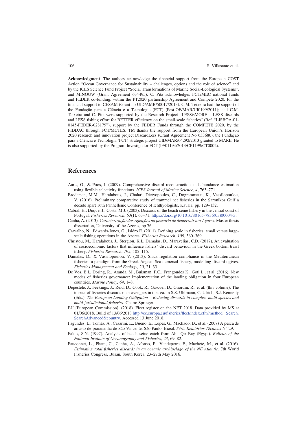Acknowledgment The authors acknowledge the financial support from the European COST Action "Ocean Governance for Sustainability – challenges, options and the role of science" and by the ICES Science Fund Project "Social Transformations of Marine Social-Ecological Systems", and MINOUW (Grant Agreement 634495). C. Pita acknowledges FCT/MEC national funds and FEDER co-funding, within the PT2020 partnership Agreement and Compete 2020, for the financial support to CESAM (Grant no UID/AMB/50017/2013). C.M. Teixeira had the support of the Fundação para a Ciência e a Tecnologia (FCT) (Pest-OE/MAR/UI0199/2011); and C.M. Teixeira and C. Pita were supported by the Research Project "LESSisMORE – LESS discards and LESS fishing effort for BETTER efficiency on the small-scale fisheries" (Ref. "LISBOA-01- 0145-FEDER-028179"), support by the FEDER Funds through the COMPETE 2020, by the PIDDAC through FCT/MCTES. TM thanks the support from the European Union's Horizon 2020 research and innovation project DiscardLess (Grant Agreement No 633680), the Fundação para a Ciência e Tecnologia (FCT) strategic project UID/MAR/04292/2013 granted to MARE. He is also supported by the Program Investigador FCT (IF/01194/2013/CP1199/CT0002).

#### References

- Aarts, G., & Poos, J. (2009). Comprehensive discard reconstruction and abundance estimation using flexible selectivity functions. ICES Journal of Marine Science, 4, 763–771.
- Brodersen, M.M., Haralabous, J., Chalari, Dictyopoulos, C., Dogrammatzi, K., Vassilopoulou, V. (2016). Preliminary comparative study of trammel net fisheries in the Saronikos Gulf a decade apart 16th Panhellenic Conference of Ichthyologists, Kavala, pp. 129–132.
- Cabral, H., Duque, J., Costa, M.J. (2003). Discards of the beach seine fishery in the central coast of Portugal. Fisheries Research, 63(1), 63–71. https://doi.org/10.1016/S0165-7836(03)00004-3.
- Canha, A. (2013). Caracterização das rejeições na pescaria de demersais nos Açores. Master thesis dissertation, University of the Azores, pp 76.
- Carvalho, N., Edwards-Jones, G., Isidro E. (2011). Defining scale in fisheries: small versus largescale fishing operations in the Azores. Fisheries Research, 109, 360–369.
- Christou, M., Haralabous, J., Stergiou, K.I., Damalas, D., Maravelias, C.D. (2017). An evaluation of socioeconomic factors that influence fishers' discard behaviour in the Greek bottom trawl fishery. Fisheries Research, 195, 105–115.
- Damalas, D., & Vassilopoulou, V. (2013). Slack regulation compliance in the Mediterranean fisheries: a paradigm from the Greek Aegean Sea demersal fishery, modelling discard ogives. Fisheries Management and Ecology, 20, 21–33.
- De Vos, B.I., Döring, R., Aranda, M., Buisman, F.C., Frangoudes K., Goti L., et al. (2016). New modes of fisheries governance: Implementation of the landing obligation in four European countries. Marine Policy, 64, 1–8.
- Depestele, J., Feekings, J., Reid, D., Cook, R., Gascuel, D., Girardin, R., et al. (this volume). The impact of fisheries discards on scavengers in the sea. In S.S. Uhlmann, C. Ulrich, S.J. Kennelly (Eds.), The European Landing Obligation – Reducing discards in complex, multi-species and multi-jurisdictional fisheries. Cham: Springer.
- EU [European Commission]. (2018). Fleet register on the NET 2018. Data provided by MS at 01/06/2018. Build of 13/06/2018 http://ec.europa.eu/fisheries/fleet/index.cfm?method=Search. SearchAdvanced&country. Accessed 13 June 2018.
- Fagundes, L., Tomás, A., Casarini, L., Bueno, E., Lopes, G., Machado, D., et al. (2007) A pesca de arrasto-de-praianailha de São Vincente, São Paulo, Brasil. Série Relatórios Técnicos N° 29.
- Faltas, S.N. (1997). Analysis of beach seine catch from Abu Qir Bay (Egypt). Bulletin of the National Institute of Oceanography and Fisheries, 23, 69–82.
- Fauconnet, L., Pham, C., Canha, A., Afonso, P., Vandeperre, F., Machete, M., et al. (2016). Estimating total fisheries discards in an oceanic archipelago of the NE Atlantic. 7th World Fisheries Congress, Busan, South Korea, 23–27th May 2016.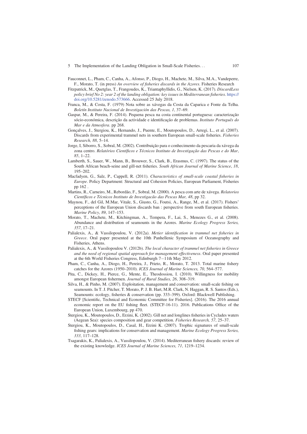- Fauconnet, L., Pham, C., Canha, A., Afonso, P., Diogo, H., Machete, M., Silva, M.A., Vandeperre, F., Morato, T. (in press) An overview of fisheries discards in the Azores. Fisheries Research
- Fitzpatrick, M., Quetglas, T., Frangoudes, K., Triantaphyllidis, G., Nielsen, K. (2017). DiscardLess policy brief No 2: year 2 of the landing obligation: key issues in Mediterranean fisheries. https:// doi.org/10.5281/zenodo.573666. Accessed 25 July 2018.
- Franca, M., & Costa, F. (1979) Nota sobre as xávegas da Costa da Caparica e Fonte da Telha. Boletín Instituto Nacional de Investigación das Pescas, 1, 37–69.
- Gaspar, M., & Pereira, F. (2014). Pequena pesca na costa continental portuguesa: caracterização sócio-económica, descrição da actividade e identificação de problemas. Instituto Português do Mar e da Atmosfera. pp 268.
- Gonçalves, J., Stergiou, K., Hernando, J., Puente, E., Moutopoulos, D., Arregi, L., et al. (2007). Discards from experimental trammel nets in southern European small-scale fisheries. Fisheries Research, 88, 5–14.
- Jorge, I, Siborro, S., Sobral, M. (2002). Contribuição para o conhecimento da pescaria da xávega da zona centro. Relatórios Científicos e Técnicos Instituto de Investigação das Pescas e do Mar, 85, 1–22.
- Lamberth, S., Sauer, W., Mann, B., Brouwer, S., Clark, B., Erasmus, C. (1997). The status of the South African beach-seine and gill-net fisheries. South African Journal of Marine Science, 18, 195–202.
- Macfadyen, G., Salz, P., Cappell, R. (2011). Characteristics of small-scale coastal fisheries in Europe. Policy Department: Structural and Cohesion Policies, European Parliament, Fisheries pp 162 .
- Martins, R., Carneiro, M., Rebordão, F., Sobral, M. (2000). A pesca com arte de xávega. Relatorios Científicos e Técnicos Instituto de Investigacão das Pescas Mar, 48, pp 32.
- Maynou, F., del Gil, M.Mar, Vitale, S., Giusto, G., Foutsi, A., Range, M., et al. (2017). Fishers' perceptions of the European Union discards ban : perspective from south European fisheries. Marine Policy, 89, 147–153.
- Morato, T., Machete, M., Kitchingman, A., Tempera, F., Lai, S., Menezes G., et al. (2008). Abundance and distribution of seamounts in the Azores. Marine Ecology Progress Series, 357, 17–21.
- Palialexis, A., & Vassilopoulou, V. (2012a). Metier identification in trammel net fisheries in Greece. Oral paper presented at the 10th Panhellenic Symposium of Oceanography and Fisheries, Athens.
- Palialexis, A., & Vassilopoulou V. (2012b). The local character of trammel net fisheries in Greece and the need of regional spatial approach for management effectiveness. Oral paper presented at the 6th World Fisheries Congress, Edinburgh  $7-11$ th May 2012.
- Pham, C., Canha, A., Diogo, H., Pereira, J., Prieto, R., Morato, T. 2013. Total marine fishery catches for the Azores (1950–2010). ICES Journal of Marine Sciences, 70, 564–577.
- Pita, C., Dickey, H., Pierce, G., Mente, E., Theodossiou, I. (2010). Willingness for mobility amongst European fishermen. Journal of Rural Studies, 26, 308–319.
- Silva, H., & Pinho, M. (2007). Exploitation, management and conservation: small-scale fishing on seamounts. In T. J. Pitcher, T. Morato, P. J. B. Hart, M.R. Clark, N. Haggan, R. S. Santos (Eds.), Seamounts: ecology, fisheries & conservation (pp. 333–399). Oxford: Blackwell Publishing.
- STECF [Scientific, Technical and Economic Committee for Fisheries]. (2016). The 2016 annual economic report on the EU fishing fleet. (STECF-16-11). 2016. Publications Office of the European Union, Luxembourg, pp 470.
- Stergiou, K., Moutopoulos, D., Erzini, K. (2002). Gill net and longlines fisheries in Cyclades waters (Aegean Sea): species composition and gear competition. Fisheries Research, 57, 25–37.
- Stergiou, K., Moutopoulos, D., Casal, H., Erzini K. (2007). Trophic signatures of small-scale fishing gears: implications for conservation and management. Marine Ecology Progress Series, 333, 117–128.
- Tsagarakis, K., Palialexis, A., Vassilopoulou, V. (2014). Mediterranean fishery discards: review of the existing knowledge. ICES Journal of Marine Sciences, 71, 1219–1234.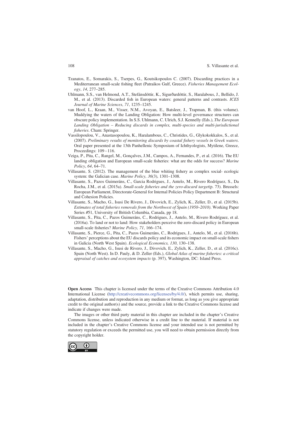- Tzanatos, E., Somarakis, S., Tserpes, G., Koutsikopoulos C. (2007). Discarding practices in a Mediterranean small-scale fishing fleet (Patraikos Gulf, Greece). Fisheries Management Ecology, 14, 277–285.
- Uhlmann, S.S., van Helmond, A.T., Stefánsdóttir, K., Sigurðardóttir, S., Haralabous, J., Bellido, J. M., et al. (2013). Discarded fish in European waters: general patterns and contrasts. ICES Journal of Marine Sciences, 71, 1235–1245.
- van Hoof, L., Kraan, M., Visser, N.M., Avoyan, E., Batsleer, J., Trapman, B. (this volume). Muddying the waters of the Landing Obligation: How multi-level governance structures can obscure policy implementation. In S.S. Uhlmann, C. Ulrich, S.J. Kennelly (Eds.), The European Landing Obligation – Reducing discards in complex, multi-species and multi-jurisdictional fisheries. Cham: Springer.
- Vassilopoulou, V., Anastasopoulou, K., Haralambous, C., Christides, G., Glykokokkalos, S., et al. (2007). Preliminary results of monitoring discards by coastal fishery vessels in Greek waters. Oral paper presented at the 13th Panhellenic Symposium of Ichthyologists, Mytilene, Greece, Proceedings:  $109 - 116$
- Veiga, P., Pita, C., Rangel, M., Gonçalves, J.M., Campos, A., Fernandes, P., et al. (2016). The EU landing obligation and European small-scale fisheries: what are the odds for success? Marine Policy, 64, 64–71.
- Villasante, S. (2012). The management of the blue whiting fishery as complex social- ecologic system: the Galician case. Marine Policy, 36(3), 1301–1308.
- Villasante, S., Pazos Guimeráns, C., Garcia Rodrigues, J., Antelo, M., Rivero Rodríguez, S., Da Rocha, J.M., et al. (2015a). Small-scale fisheries and the zero-discard target(p. 73). Brussels: European Parliament, Directorate-General for Internal Policies Policy Department B: Structural and Cohesion Policies.
- Villasante, S., Macho, G., Isusi De Rivero, J., Divovich, E., Zylich, K., Zeller, D., et al. (2015b). Estimates of total fisheries removals from the Northwest of Spain (1950–2010). Working Paper Series #51, University of British Columbia, Canada, pp 18.
- Villasante, S., Pita, C., Pazos Guimeráns, C., Rodrigues, J., Antelo, M., Rivero Rodríguez, et al. (2016a). To land or not to land: How stakeholders perceive the zero-discard policy in European small-scale fisheries? Marine Policy, 71, 166–174.
- Villasante, S., Pierce, G., Pita, C., Pazos Guimeráns, C., Rodrigues, J., Antelo, M., et al. (2016b). Fishers' perceptions about the EU discards policy and its economic impact on small-scale fishers in Galicia (North West Spain). Ecological Economics, 130, 130–138.
- Villasante, S., Macho, G., Isusi de Rivero, J., Divovich, E., Zylich, K., Zeller, D., et al. (2016c). Spain (North West). In D. Pauly, & D. Zeller (Eds.), Global Atlas of marine fisheries: a critical appraisal of catches and ecosystem impacts (p. 397), Washington, DC: Island Press.

Open Access This chapter is licensed under the terms of the Creative Commons Attribution 4.0 International License (http://creativecommons.org/licenses/by/4.0/), which permits use, sharing, adaptation, distribution and reproduction in any medium or format, as long as you give appropriate credit to the original author(s) and the source, provide a link to the Creative Commons license and indicate if changes were made.

The images or other third party material in this chapter are included in the chapter's Creative Commons license, unless indicated otherwise in a credit line to the material. If material is not included in the chapter's Creative Commons license and your intended use is not permitted by statutory regulation or exceeds the permitted use, you will need to obtain permission directly from the copyright holder.

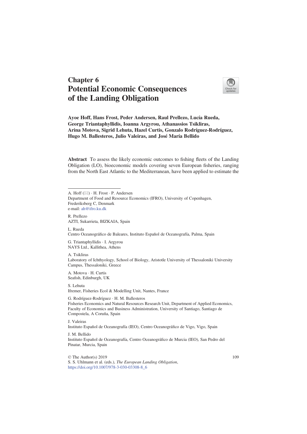#### Chapter 6 Potential Economic Consequences of the Landing Obligation



Ayoe Hoff, Hans Frost, Peder Andersen, Raul Prellezo, Lucía Rueda, George Triantaphyllidis, Ioanna Argyrou, Athanassios Tsikliras, Arina Motova, Sigrid Lehuta, Hazel Curtis, Gonzalo Rodríguez-Rodríguez, Hugo M. Ballesteros, Julio Valeiras, and José María Bellido

Abstract To assess the likely economic outcomes to fishing fleets of the Landing Obligation (LO), bioeconomic models covering seven European fisheries, ranging from the North East Atlantic to the Mediterranean, have been applied to estimate the

A. Hoff ( $\boxtimes$ ) · H. Frost · P. Andersen

Department of Food and Resource Economics (IFRO), University of Copenhagen, Frederiksberg C, Denmark e-mail: ah@ifro.ku.dk

R. Prellezo AZTI, Sukarrieta, BIZKAIA, Spain

L. Rueda Centro Oceanográfico de Baleares, Instituto Español de Oceanografía, Palma, Spain

G. Triantaphyllidis · I. Argyrou NAYS Ltd., Kallithea, Athens

A. Tsikliras Laboratory of Ichthyology, School of Biology, Aristotle University of Thessaloniki University Campus, Thessaloniki, Greece

A. Motova · H. Curtis Seafish, Edinburgh, UK

S. Lehuta Ifremer, Fisheries Ecol & Modelling Unit, Nantes, France

G. Rodríguez-Rodríguez · H. M. Ballesteros Fisheries Economics and Natural Resources Research Unit, Department of Applied Economics, Faculty of Economics and Business Administration, University of Santiago, Santiago de Compostela, A Coruña, Spain

J. Valeiras Instituto Español de Oceanografía (IEO), Centro Oceanográfico de Vigo, Vigo, Spain

J. M. Bellido Instituto Español de Oceanografía, Centro Oceanográfico de Murcia (IEO), San Pedro del Pinatar, Murcia, Spain

© The Author(s) 2019 S. S. Uhlmann et al. (eds.), The European Landing Obligation, https://doi.org/10.1007/978-3-030-03308-8\_6

109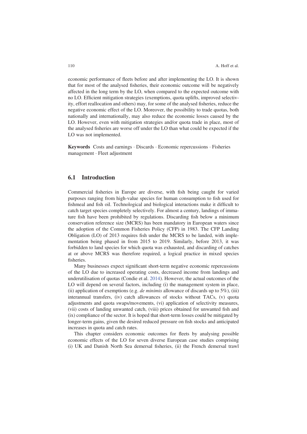economic performance of fleets before and after implementing the LO. It is shown that for most of the analysed fisheries, their economic outcome will be negatively affected in the long term by the LO, when compared to the expected outcome with no LO. Efficient mitigation strategies (exemptions, quota uplifts, improved selectivity, effort reallocation and others) may, for some of the analysed fisheries, reduce the negative economic effect of the LO. Moreover, the possibility to trade quotas, both nationally and internationally, may also reduce the economic losses caused by the LO. However, even with mitigation strategies and/or quota trade in place, most of the analysed fisheries are worse off under the LO than what could be expected if the LO was not implemented.

Keywords Costs and earnings · Discards · Economic repercussions · Fisheries management · Fleet adjustment

#### 6.1 Introduction

Commercial fisheries in Europe are diverse, with fish being caught for varied purposes ranging from high-value species for human consumption to fish used for fishmeal and fish oil. Technological and biological interactions make it difficult to catch target species completely selectively. For almost a century, landings of immature fish have been prohibited by regulations. Discarding fish below a minimum conservation reference size (MCRS) has been mandatory in European waters since the adoption of the Common Fisheries Policy (CFP) in 1983. The CFP Landing Obligation (LO) of 2013 requires fish under the MCRS to be landed, with implementation being phased in from 2015 to 2019. Similarly, before 2013, it was forbidden to land species for which quota was exhausted, and discarding of catches at or above MCRS was therefore required, a logical practice in mixed species fisheries.

Many businesses expect significant short-term negative economic repercussions of the LO due to increased operating costs, decreased income from landings and underutilisation of quotas (Condie et al. 2014). However, the actual outcomes of the LO will depend on several factors, including (i) the management system in place, (ii) application of exemptions (e.g. *de minimis* allowance of discards up to  $5\%$ ), (iii) interannual transfers, (iv) catch allowances of stocks without TACs, (v) quota adjustments and quota swaps/movements, (vi) application of selectivity measures, (vii) costs of landing unwanted catch, (viii) prices obtained for unwanted fish and (ix) compliance of the sector. It is hoped that short-term losses could be mitigated by longer-term gains, given the desired reduced pressure on fish stocks and anticipated increases in quota and catch rates.

This chapter considers economic outcomes for fleets by analysing possible economic effects of the LO for seven diverse European case studies comprising (i) UK and Danish North Sea demersal fisheries, (ii) the French demersal trawl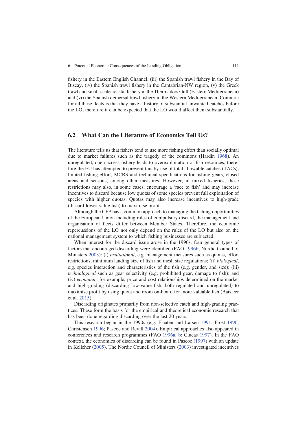fishery in the Eastern English Channel, (iii) the Spanish trawl fishery in the Bay of Biscay, (iv) the Spanish trawl fishery in the Cantabrian-NW region, (v) the Greek trawl and small-scale coastal fishery in the Thermaikos Gulf (Eastern Mediterranean) and (vi) the Spanish demersal trawl fishery in the Western Mediterranean. Common for all these fleets is that they have a history of substantial unwanted catches before the LO; therefore it can be expected that the LO would affect them substantially.

#### 6.2 What Can the Literature of Economics Tell Us?

The literature tells us that fishers tend to use more fishing effort than socially optimal due to market failures such as the tragedy of the commons (Hardin 1968). An unregulated, open-access fishery leads to overexploitation of fish resources; therefore the EU has attempted to prevent this by use of total allowable catches (TACs), limited fishing effort, MCRS and technical specifications for fishing gears, closed areas and seasons, among other measures. However, in mixed fisheries, these restrictions may also, in some cases, encourage a 'race to fish' and may increase incentives to discard because low quotas of some species prevent full exploitation of species with higher quotas. Quotas may also increase incentives to high-grade (discard lower-value fish) to maximise profit.

Although the CFP has a common approach to managing the fishing opportunities of the European Union including rules of compulsory discard, the management and organisation of fleets differ between Member States. Therefore, the economic repercussions of the LO not only depend on the rules of the LO but also on the national management system to which fishing businesses are subjected.

When interest for the discard issue arose in the 1990s, four general types of factors that encouraged discarding were identified (FAO 1996b; Nordic Council of Ministers 2003): (i) institutional, e.g. management measures such as quotas, effort restrictions, minimum landing size of fish and mesh size regulations; (ii) biological, e.g. species interaction and characteristics of the fish (e.g. gender, and size); (iii) technological such as gear selectivity (e.g. prohibited gear, damage to fish); and (iv) economic, for example, price and cost relationships determined on the market and high-grading (discarding low-value fish, both regulated and unregulated) to maximise profit by using quota and room on-board for more valuable fish (Batsleer et al. 2015).

Discarding originates primarily from non-selective catch and high-grading practices. These form the basis for the empirical and theoretical economic research that has been done regarding discarding over the last 20 years.

This research began in the 1990s (e.g. Flaaten and Larsen 1991; Frost 1996; Christensen 1996; Pascoe and Revill 2004). Empirical approaches also appeared in conferences and research programmes (FAO 1996a, b; Clucas 1997). In the FAO context, the economics of discarding can be found in Pascoe (1997) with an update in Kelleher (2005). The Nordic Council of Ministers (2003) investigated incentives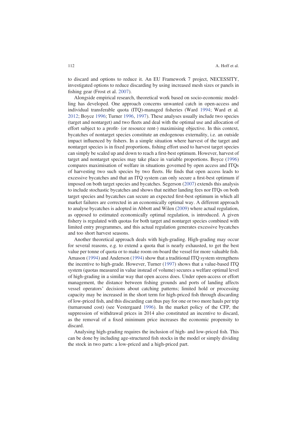to discard and options to reduce it. An EU Framework 7 project, NECESSITY, investigated options to reduce discarding by using increased mesh sizes or panels in fishing gear (Frost et al. 2007).

Alongside empirical research, theoretical work based on socio-economic modelling has developed. One approach concerns unwanted catch in open-access and individual transferable quota (ITQ)-managed fisheries (Ward 1994; Ward et al. 2012; Boyce 1996; Turner 1996, 1997). These analyses usually include two species (target and nontarget) and two fleets and deal with the optimal use and allocation of effort subject to a profit- (or resource rent-) maximising objective. In this context, bycatches of nontarget species constitute an endogenous externality, i.e. an outside impact influenced by fishers. In a simple situation where harvest of the target and nontarget species is in fixed proportions, fishing effort used to harvest target species can simply be scaled up and down to reach a first-best optimum. However, harvest of target and nontarget species may take place in variable proportions. Boyce (1996) compares maximisation of welfare in situations governed by open access and ITQs of harvesting two such species by two fleets. He finds that open access leads to excessive bycatches and that an ITQ system can only secure a first-best optimum if imposed on both target species and bycatches. Segerson (2007) extends this analysis to include stochastic bycatches and shows that neither landing fees nor ITQs on both target species and bycatches can secure an expected first-best optimum in which all market failures are corrected in an economically optimal way. A different approach to analyse bycatches is adopted in Abbott and Wilen (2009) where actual regulation, as opposed to estimated economically optimal regulation, is introduced. A given fishery is regulated with quotas for both target and nontarget species combined with limited entry programmes, and this actual regulation generates excessive bycatches and too short harvest seasons.

Another theoretical approach deals with high-grading. High-grading may occur for several reasons, e.g. to extend a quota that is nearly exhausted, to get the best value per tonne of quota or to make room on-board the vessel for more valuable fish. Arnason (1994) and Anderson (1994) show that a traditional ITQ system strengthens the incentive to high-grade. However, Turner (1997) shows that a value-based ITQ system (quotas measured in value instead of volume) secures a welfare optimal level of high-grading in a similar way that open access does. Under open-access or effort management, the distance between fishing grounds and ports of landing affects vessel operators' decisions about catching patterns; limited hold or processing capacity may be increased in the short term for high-priced fish through discarding of low-priced fish, and this discarding can thus pay for one or two more hauls per trip (turnaround cost) (see Vestergaard 1996). In the market policy of the CFP, the suppression of withdrawal prices in 2014 also constituted an incentive to discard, as the removal of a fixed minimum price increases the economic propensity to discard.

Analysing high-grading requires the inclusion of high- and low-priced fish. This can be done by including age-structured fish stocks in the model or simply dividing the stock in two parts: a low-priced and a high-priced part.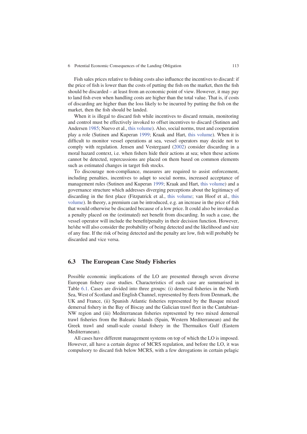#### 6 Potential Economic Consequences of the Landing Obligation 113

Fish sales prices relative to fishing costs also influence the incentives to discard: if the price of fish is lower than the costs of putting the fish on the market, then the fish should be discarded – at least from an economic point of view. However, it may pay to land fish even when handling costs are higher than the total value. That is, if costs of discarding are higher than the loss likely to be incurred by putting the fish on the market, then the fish should be landed.

When it is illegal to discard fish while incentives to discard remain, monitoring and control must be effectively invoked to offset incentives to discard (Sutinen and Andersen 1985; Nuevo et al., this volume). Also, social norms, trust and cooperation play a role (Sutinen and Kuperan 1999; Kraak and Hart, this volume). When it is difficult to monitor vessel operations at sea, vessel operators may decide not to comply with regulation. Jensen and Vestergaard (2002) consider discarding in a moral hazard context, i.e. when fishers hide their actions at sea; when these actions cannot be detected, repercussions are placed on them based on common elements such as estimated changes in target fish stocks.

To discourage non-compliance, measures are required to assist enforcement, including penalties, incentives to adapt to social norms, increased acceptance of management rules (Sutinen and Kuperan 1999; Kraak and Hart, this volume) and a governance structure which addresses diverging perceptions about the legitimacy of discarding in the first place (Fitzpatrick et al., this volume; van Hoof et al., this volume). In theory, a premium can be introduced, e.g. an increase in the price of fish that would otherwise be discarded because of a low price. It could also be invoked as a penalty placed on the (estimated) net benefit from discarding. In such a case, the vessel operator will include the benefit/penalty in their decision function. However, he/she will also consider the probability of being detected and the likelihood and size of any fine. If the risk of being detected and the penalty are low, fish will probably be discarded and vice versa.

#### 6.3 The European Case Study Fisheries

Possible economic implications of the LO are presented through seven diverse European fishery case studies. Characteristics of each case are summarised in Table 6.1. Cases are divided into three groups: (i) demersal fisheries in the North Sea, West of Scotland and English Channel, represented by fleets from Denmark, the UK and France, (ii) Spanish Atlantic fisheries represented by the Basque mixed demersal fishery in the Bay of Biscay and the Galician trawl fleet in the Cantabrian-NW region and (iii) Mediterranean fisheries represented by two mixed demersal trawl fisheries from the Balearic Islands (Spain, Western Mediterranean) and the Greek trawl and small-scale coastal fishery in the Thermaikos Gulf (Eastern Mediterranean).

All cases have different management systems on top of which the LO is imposed. However, all have a certain degree of MCRS regulation, and before the LO, it was compulsory to discard fish below MCRS, with a few derogations in certain pelagic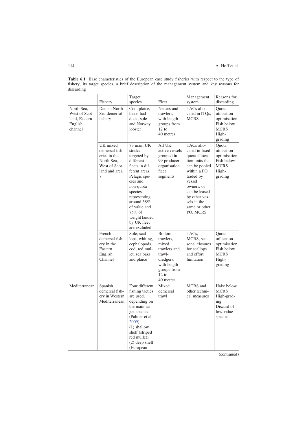#### 114 A. Hoff et al.

|                                                                    | Fishery                                                                                         | Target<br>species                                                                                                                                                                                                                               | Fleet                                                                                                                          | Management<br>system                                                                                                                                                                                                 | Reasons for<br>discarding                                                             |
|--------------------------------------------------------------------|-------------------------------------------------------------------------------------------------|-------------------------------------------------------------------------------------------------------------------------------------------------------------------------------------------------------------------------------------------------|--------------------------------------------------------------------------------------------------------------------------------|----------------------------------------------------------------------------------------------------------------------------------------------------------------------------------------------------------------------|---------------------------------------------------------------------------------------|
| North Sea,<br>West of Scot-<br>land, Eastern<br>English<br>channel | Danish North<br>Sea demersal<br>fishery                                                         | Cod, plaice,<br>hake, had-<br>dock, sole<br>and Norway<br>lobster                                                                                                                                                                               | Netters and<br>trawlers,<br>with length<br>groups from<br>12 to<br>40 metres                                                   | TACs allo-<br>cated in ITQs,<br><b>MCRS</b>                                                                                                                                                                          | Ouota<br>utilisation<br>optimisation<br>Fish below<br><b>MCRS</b><br>High-<br>grading |
|                                                                    | UK mixed<br>demersal fish-<br>eries in the<br>North Sea,<br>West of Scot-<br>land and area<br>7 | 73 main UK<br>stocks<br>targeted by<br>different<br>fleets in dif-<br>ferent areas.<br>Pelagic spe-<br>cies and<br>non-quota<br>species<br>representing<br>around 58%<br>of value and<br>75% of<br>weight landed<br>by UK fleet<br>are excluded | All UK<br>active vessels<br>grouped in<br>99 producer<br>organisation<br>fleet<br>segments                                     | TACs allo-<br>cated in fixed<br>quota alloca-<br>tion units that<br>can be pooled<br>within a PO,<br>traded by<br>vessel<br>owners, or<br>can be leased<br>by other ves-<br>sels in the<br>same or other<br>PO, MCRS | Ouota<br>utilisation<br>optimisation<br>Fish below<br><b>MCRS</b><br>High-<br>grading |
|                                                                    | French<br>demersal fish-<br>ery in the<br>Eastern<br>English<br>Channel                         | Sole, scal-<br>lops, whiting,<br>cephalopods,<br>cod, red mul-<br>let, sea bass<br>and plaice                                                                                                                                                   | <b>Bottom</b><br>trawlers,<br>mixed<br>trawlers and<br>trawl-<br>dredgers,<br>with length<br>groups from<br>12 to<br>40 metres | TAC <sub>s</sub><br>MCRS, sea-<br>sonal closures<br>for scallops<br>and effort<br>limitation                                                                                                                         | Quota<br>utilisation<br>optimisation<br>Fish below<br><b>MCRS</b><br>High-<br>grading |
| Mediterranean                                                      | Spanish<br>demersal fish-<br>ery in Western<br>Mediterranean                                    | Four different<br>fishing tactics<br>are used,<br>depending on<br>the main tar-<br>get species<br>(Palmer et al.<br>2009):<br>$(1)$ shallow<br>shelf (striped<br>red mullet),<br>$(2)$ deep shelf<br>(European                                  | Mixed<br>demersal<br>trawl                                                                                                     | MCRS and<br>other techni-<br>cal measures                                                                                                                                                                            | Hake below<br><b>MCRS</b><br>High-grad-<br>ing<br>Discard of<br>low-value<br>species  |

Table 6.1 Base characteristics of the European case study fisheries with respect to the type of fishery, its target species, a brief description of the management system and key reasons for discarding

(continued)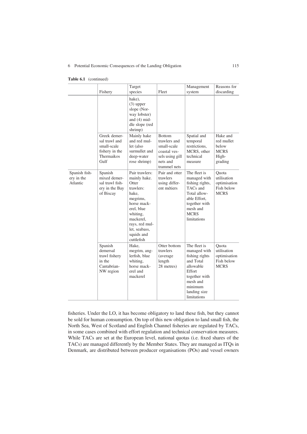#### 6 Potential Economic Consequences of the Landing Obligation 115

Table 6.1 (continued)

|                                         | Fishery                                                                              | Target<br>species                                                                                                                                                                              | Fleet                                                                                                       | Management<br>system                                                                                                                                          | Reasons for<br>discarding                                          |
|-----------------------------------------|--------------------------------------------------------------------------------------|------------------------------------------------------------------------------------------------------------------------------------------------------------------------------------------------|-------------------------------------------------------------------------------------------------------------|---------------------------------------------------------------------------------------------------------------------------------------------------------------|--------------------------------------------------------------------|
|                                         |                                                                                      | hake),<br>$(3)$ upper<br>slope (Nor-<br>way lobster)<br>and $(4)$ mid-<br>dle slope (red<br>shrimp)                                                                                            |                                                                                                             |                                                                                                                                                               |                                                                    |
|                                         | Greek demer-<br>sal trawl and<br>small-scale<br>fishery in the<br>Thermaikos<br>Gulf | Mainly hake<br>and red mul-<br>let (also<br>surmullet and<br>deep-water<br>rose shrimp)                                                                                                        | <b>Bottom</b><br>trawlers and<br>small-scale<br>coastal ves-<br>sels using gill<br>nets and<br>trammel nets | Spatial and<br>temporal<br>restrictions,<br>MCRS, other<br>technical<br>measure                                                                               | Hake and<br>red mullet<br>below<br><b>MCRS</b><br>High-<br>grading |
| Spanish fish-<br>ery in the<br>Atlantic | Spanish<br>mixed demer-<br>sal trawl fish-<br>ery in the Bay<br>of Biscay            | Pair trawlers:<br>mainly hake.<br>Otter<br>trawlers:<br>hake.<br>megrims,<br>horse mack-<br>erel, blue<br>whiting,<br>mackerel,<br>rays, red mul-<br>let, seabass,<br>squids and<br>cuttlefish | Pair and otter<br>trawlers<br>using differ-<br>ent métiers                                                  | The fleet is<br>managed with<br>fishing rights,<br>TACs and<br>Total allow-<br>able Effort,<br>together with<br>mesh and<br><b>MCRS</b><br><i>limitations</i> | Quota<br>utilisation<br>optimisation<br>Fish below<br><b>MCRS</b>  |
|                                         | Spanish<br>demersal<br>trawl fishery<br>in the<br>Cantabrian-<br>NW region           | Hake.<br>megrim, ang-<br>lerfish, blue<br>whiting,<br>horse mack-<br>erel and<br>mackerel                                                                                                      | Otter bottom<br>trawlers<br>(average)<br>length<br>28 metres)                                               | The fleet is<br>managed with<br>fishing rights<br>and Total<br>allowable<br>Effort<br>together with<br>mesh and<br>minimum<br>landing size<br>limitations     | Ouota<br>utilisation<br>optimisation<br>Fish below<br><b>MCRS</b>  |

fisheries. Under the LO, it has become obligatory to land these fish, but they cannot be sold for human consumption. On top of this new obligation to land small fish, the North Sea, West of Scotland and English Channel fisheries are regulated by TACs, in some cases combined with effort regulation and technical conservation measures. While TACs are set at the European level, national quotas (i.e. fixed shares of the TACs) are managed differently by the Member States. They are managed as ITQs in Denmark, are distributed between producer organisations (POs) and vessel owners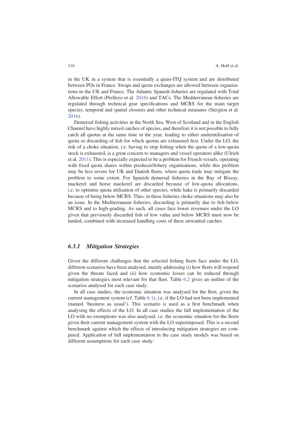in the UK in a system that is essentially a quasi-ITQ system and are distributed between POs in France. Swaps and quota exchanges are allowed between organisations in the UK and France. The Atlantic Spanish fisheries are regulated with Total Allowable Effort (Prellezo et al. 2016) and TACs. The Mediterranean fisheries are regulated through technical gear specifications and MCRS for the main target species, temporal and spatial closures and other technical measures (Stergiou et al. 2016).

Demersal fishing activities in the North Sea, West of Scotland and in the English Channel have highly mixed catches of species, and therefore it is not possible to fully catch all quotas at the same time in the year, leading to either underutilisation of quota or discarding of fish for which quotas are exhausted first. Under the LO, the risk of a choke situation, i.e. having to stop fishing when the quota of a low-quota stock is exhausted, is a great concern to managers and vessel operators alike (Ulrich et al. 2011). This is especially expected to be a problem for French vessels, operating with fixed quota shares within producer/fishery organisations, while this problem may be less severe for UK and Danish fleets, where quota trade may mitigate the problem to some extent. For Spanish demersal fisheries in the Bay of Biscay, mackerel and horse mackerel are discarded because of low-quota allocations, i.e. to optimise quota utilisation of other species, while hake is primarily discarded because of being below MCRS. Thus, in these fisheries choke situations may also be an issue. In the Mediterranean fisheries, discarding is primarily due to fish below MCRS and to high-grading. As such, all cases face lower revenues under the LO given that previously discarded fish of low value and below MCRS must now be landed, combined with increased handling costs of these unwanted catches.

#### 6.3.1 Mitigation Strategies

Given the different challenges that the selected fishing fleets face under the LO, different scenarios have been analysed, mainly addressing (i) how fleets will respond given the threats faced and (ii) how economic losses can be reduced through mitigation strategies most relevant for that fleet. Table 6.2 gives an outline of the scenarios analysed for each case study.

In all case studies, the economic situation was analysed for the fleet, given the current management system (cf. Table 6.1), i.e. if the LO had not been implemented (named 'business as usual'). This scenario is used as a first benchmark when analysing the effects of the LO. In all case studies the full implementation of the LO with no exemptions was also analysed, i.e. the economic situation for the fleets given their current management system with the LO superimposed. This is a second benchmark against which the effects of introducing mitigation strategies are compared. Application of full implementation in the case study models was based on different assumptions for each case study: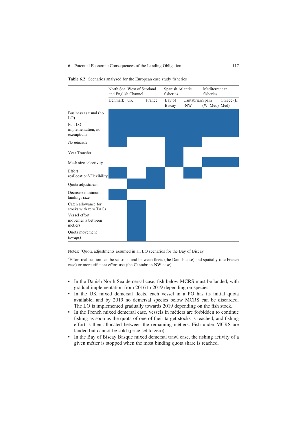#### 6 Potential Economic Consequences of the Landing Obligation 117





Notes: <sup>1</sup>Quota adjustments assumed in all LO scenarios for the Bay of Biscay

 ${}^{2}$ Effort reallocation can be seasonal and between fleets (the Danish case) and spatially (the French case) or more efficient effort use (the Cantabrian-NW case)

- In the Danish North Sea demersal case, fish below MCRS must be landed, with gradual implementation from 2016 to 2019 depending on species.
- In the UK mixed demersal fleets, each vessel in a PO has its initial quota available, and by 2019 no demersal species below MCRS can be discarded. The LO is implemented gradually towards 2019 depending on the fish stock.
- In the French mixed demersal case, vessels in métiers are forbidden to continue fishing as soon as the quota of one of their target stocks is reached, and fishing effort is then allocated between the remaining métiers. Fish under MCRS are landed but cannot be sold (price set to zero).
- In the Bay of Biscay Basque mixed demersal trawl case, the fishing activity of a given métier is stopped when the most binding quota share is reached.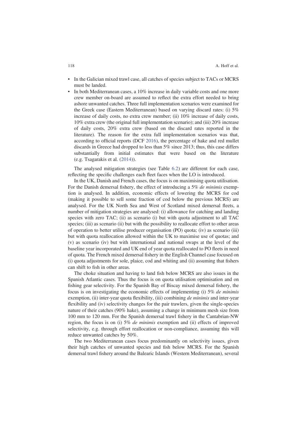- In the Galician mixed trawl case, all catches of species subject to TACs or MCRS must be landed.
- In both Mediterranean cases, a 10% increase in daily variable costs and one more crew member on-board are assumed to reflect the extra effort needed to bring ashore unwanted catches. Three full implementation scenarios were examined for the Greek case (Eastern Mediterranean) based on varying discard rates: (i) 5% increase of daily costs, no extra crew member; (ii) 10% increase of daily costs, 10% extra crew (the original full implementation scenario); and (iii) 20% increase of daily costs, 20% extra crew (based on the discard rates reported in the literature). The reason for the extra full implementation scenarios was that, according to official reports (DCF 2016), the percentage of hake and red mullet discards in Greece had dropped to less than 5% since 2013; thus, this case differs substantially from initial estimates that were based on the literature (e.g. Tsagarakis et al. (2014)).

The analysed mitigation strategies (see Table 6.2) are different for each case, reflecting the specific challenges each fleet faces when the LO is introduced.

In the UK, Danish and French cases, the focus is on maximising quota utilisation. For the Danish demersal fishery, the effect of introducing a 5% de minimis exemption is analysed. In addition, economic effects of lowering the MCRS for cod (making it possible to sell some fraction of cod below the previous MCRS) are analysed. For the UK North Sea and West of Scotland mixed demersal fleets, a number of mitigation strategies are analysed: (i) allowance for catching and landing species with zero TAC; (ii) as scenario (i) but with quota adjustment to all TAC species; (iii) as scenario (ii) but with the possibility to reallocate effort to other areas of operation to better utilise producer organisation (PO) quota; (iv) as scenario (iii) but with quota reallocation allowed within the UK to maximise use of quotas; and (v) as scenario (iv) but with international and national swaps at the level of the baseline year incorporated and UK end of year quota reallocated to PO fleets in need of quota. The French mixed demersal fishery in the English Channel case focused on (i) quota adjustments for sole, plaice, cod and whiting and (ii) assuming that fishers can shift to fish in other areas.

The choke situation and having to land fish below MCRS are also issues in the Spanish Atlantic cases. Thus the focus is on quota utilisation optimisation and on fishing gear selectivity. For the Spanish Bay of Biscay mixed demersal fishery, the focus is on investigating the economic effects of implementing (i) 5% de minimis exemption, (ii) inter-year quota flexibility, (iii) combining *de minimis* and inter-year flexibility and (iv) selectivity changes for the pair trawlers, given the single-species nature of their catches (90% hake), assuming a change in minimum mesh size from 100 mm to 120 mm. For the Spanish demersal trawl fishery in the Cantabrian-NW region, the focus is on (i) 5% de minimis exemption and (ii) effects of improved selectivity, e.g. through effort reallocation or non-compliance, assuming this will reduce unwanted catches by 50%.

The two Mediterranean cases focus predominantly on selectivity issues, given their high catches of unwanted species and fish below MCRS. For the Spanish demersal trawl fishery around the Balearic Islands (Western Mediterranean), several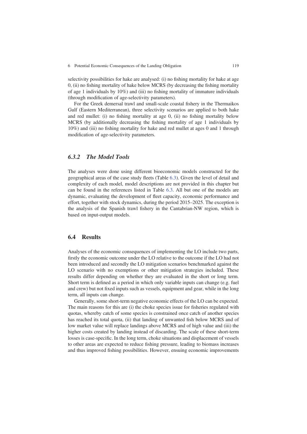selectivity possibilities for hake are analysed: (i) no fishing mortality for hake at age 0, (ii) no fishing mortality of hake below MCRS (by decreasing the fishing mortality of age 1 individuals by 10%) and (iii) no fishing mortality of immature individuals (through modification of age-selectivity parameters).

For the Greek demersal trawl and small-scale coastal fishery in the Thermaikos Gulf (Eastern Mediterranean), three selectivity scenarios are applied to both hake and red mullet: (i) no fishing mortality at age 0, (ii) no fishing mortality below MCRS (by additionally decreasing the fishing mortality of age 1 individuals by 10%) and (iii) no fishing mortality for hake and red mullet at ages 0 and 1 through modification of age-selectivity parameters.

#### 6.3.2 The Model Tools

The analyses were done using different bioeconomic models constructed for the geographical areas of the case study fleets (Table 6.3). Given the level of detail and complexity of each model, model descriptions are not provided in this chapter but can be found in the references listed in Table 6.3. All but one of the models are dynamic, evaluating the development of fleet capacity, economic performance and effort, together with stock dynamics, during the period 2015–2025. The exception is the analysis of the Spanish trawl fishery in the Cantabrian-NW region, which is based on input-output models.

#### 6.4 Results

Analyses of the economic consequences of implementing the LO include two parts, firstly the economic outcome under the LO relative to the outcome if the LO had not been introduced and secondly the LO mitigation scenarios benchmarked against the LO scenario with no exemptions or other mitigation strategies included. These results differ depending on whether they are evaluated in the short or long term. Short term is defined as a period in which only variable inputs can change (e.g. fuel and crew) but not fixed inputs such as vessels, equipment and gear, while in the long term, all inputs can change.

Generally, some short-term negative economic effects of the LO can be expected. The main reasons for this are (i) the choke species issue for fisheries regulated with quotas, whereby catch of some species is constrained once catch of another species has reached its total quota, (ii) that landing of unwanted fish below MCRS and of low market value will replace landings above MCRS and of high value and (iii) the higher costs created by landing instead of discarding. The scale of these short-term losses is case-specific. In the long term, choke situations and displacement of vessels to other areas are expected to reduce fishing pressure, leading to biomass increases and thus improved fishing possibilities. However, ensuing economic improvements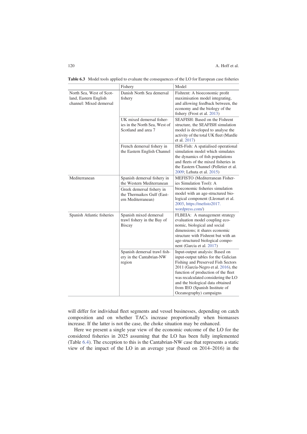#### 120 A. Hoff et al.

|                                                                              | Fishery                                                                                                                                   | Model                                                                                                                                                                                                                                                                                                                                |
|------------------------------------------------------------------------------|-------------------------------------------------------------------------------------------------------------------------------------------|--------------------------------------------------------------------------------------------------------------------------------------------------------------------------------------------------------------------------------------------------------------------------------------------------------------------------------------|
| North Sea, West of Scot-<br>land, Eastern English<br>channel: Mixed demersal | Danish North Sea demersal<br>fishery                                                                                                      | Fishrent: A bioeconomic profit<br>maximisation model integrating,<br>and allowing feedback between, the<br>economy and the biology of the<br>fishery (Frost et al. 2013)                                                                                                                                                             |
|                                                                              | UK mixed demersal fisher-<br>ies in the North Sea, West of<br>Scotland and area 7                                                         | SEAFISH: Based on the Fishrent<br>structure, the SEAFISH simulation<br>model is developed to analyse the<br>activity of the total UK fleet (Mardle<br>et al. 2017)                                                                                                                                                                   |
|                                                                              | French demersal fishery in<br>the Eastern English Channel                                                                                 | ISIS-Fish: A spatialised operational<br>simulation model which simulates<br>the dynamics of fish populations<br>and fleets of the mixed fisheries in<br>the Eastern Channel (Pelletier et al.<br>2009; Lehuta et al. 2015)                                                                                                           |
| Mediterranean                                                                | Spanish demersal fishery in<br>the Western Mediterranean<br>Greek demersal fishery in<br>the Thermaikos Gulf (East-<br>ern Mediterranean) | MEFISTO (Mediterranean Fisher-<br>ies Simulation Tool): A<br>bioeconomic fisheries simulation<br>model with an age-structured bio-<br>logical component (Lleonart et al.<br>2003, https://mefisto2017.<br>wordpress.com/)                                                                                                            |
| Spanish Atlantic fisheries                                                   | Spanish mixed demersal<br>trawl fishery in the Bay of<br><b>Biscay</b>                                                                    | FLBEIA: A management strategy<br>evaluation model coupling eco-<br>nomic, biological and social<br>dimensions: it shares economic<br>structure with Fishrent but with an<br>age-structured biological compo-<br>nent (Garcia et al. 2017)                                                                                            |
|                                                                              | Spanish demersal trawl fish-<br>ery in the Cantabrian-NW<br>region                                                                        | Input-output analysis: Based on<br>input-output tables for the Galician<br>Fishing and Preserved Fish Sectors<br>2011 (García-Negro et al. 2016), the<br>function of production of the fleet<br>was recalculated considering the LO<br>and the biological data obtained<br>from IEO (Spanish Institute of<br>Oceanography) campaigns |

Table 6.3 Model tools applied to evaluate the consequences of the LO for European case fisheries

will differ for individual fleet segments and vessel businesses, depending on catch composition and on whether TACs increase proportionally when biomasses increase. If the latter is not the case, the choke situation may be enhanced.

Here we present a single year view of the economic outcome of the LO for the considered fisheries in 2025 assuming that the LO has been fully implemented (Table 6.4). The exception to this is the Cantabrian-NW case that represents a static view of the impact of the LO in an average year (based on 2014–2016) in the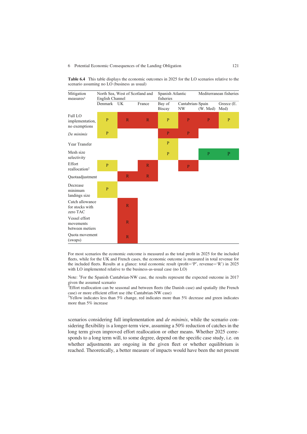



For most scenarios the economic outcome is measured as the total profit in 2025 for the included fleets, while for the UK and French cases, the economic outcome is measured in total revenue for the included fleets. Results at a glance: total economic result (profit= ${}^{\circ}P$ ', revenue= ${}^{\circ}R$ ') in 2025 with LO implemented relative to the business-as-usual case (no LO)

Note: <sup>1</sup>For the Spanish Cantabrian-NW case, the results represent the expected outcome in 2017 given the assumed scenario<br><sup>2</sup>Effort reallocation can be seasonal and between fleets (the Danish case) and spatially (the French

case) or more efficient effort use (the Cantabrian-NW case) <sup>3</sup>

 $3$ Yellow indicates less than 5% change, red indicates more than 5% decrease and green indicates more than 5% increase

scenarios considering full implementation and *de minimis*, while the scenario considering flexibility is a longer-term view, assuming a 50% reduction of catches in the long term given improved effort reallocation or other means. Whether 2025 corresponds to a long term will, to some degree, depend on the specific case study, i.e. on whether adjustments are ongoing in the given fleet or whether equilibrium is reached. Theoretically, a better measure of impacts would have been the net present